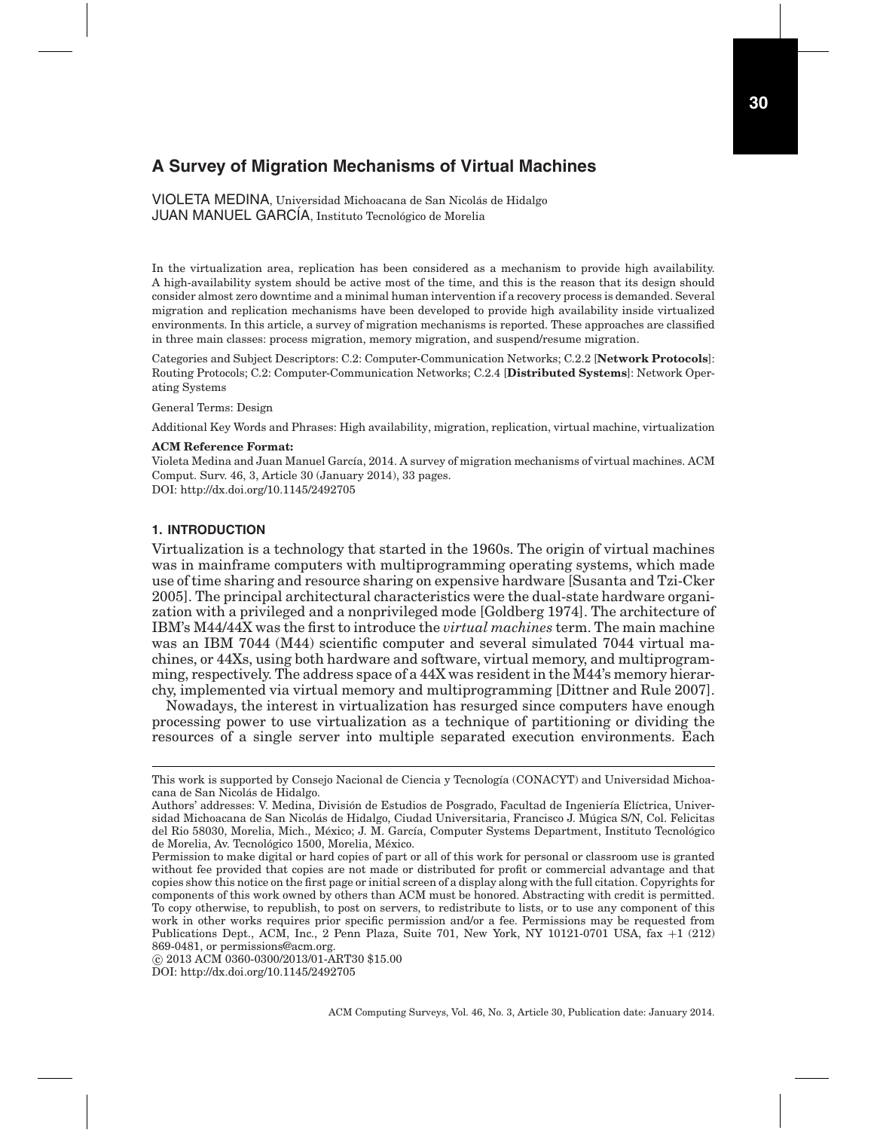VIOLETA MEDINA, Universidad Michoacana de San Nicolas de Hidalgo ´ JUAN MANUEL GARCÍA, Instituto Tecnológico de Morelia

In the virtualization area, replication has been considered as a mechanism to provide high availability. A high-availability system should be active most of the time, and this is the reason that its design should consider almost zero downtime and a minimal human intervention if a recovery process is demanded. Several migration and replication mechanisms have been developed to provide high availability inside virtualized environments. In this article, a survey of migration mechanisms is reported. These approaches are classified in three main classes: process migration, memory migration, and suspend/resume migration.

Categories and Subject Descriptors: C.2: Computer-Communication Networks; C.2.2 [**Network Protocols**]: Routing Protocols; C.2: Computer-Communication Networks; C.2.4 [**Distributed Systems**]: Network Operating Systems

General Terms: Design

Additional Key Words and Phrases: High availability, migration, replication, virtual machine, virtualization

#### **ACM Reference Format:**

Violeta Medina and Juan Manuel García, 2014. A survey of migration mechanisms of virtual machines. ACM Comput. Surv. 46, 3, Article 30 (January 2014), 33 pages. DOI:<http://dx.doi.org/10.1145/2492705>

## **1. INTRODUCTION**

<span id="page-0-0"></span>Virtualization is a technology that started in the 1960s. The origin of virtual machines was in mainframe computers with multiprogramming operating systems, which made use of time sharing and resource sharing on expensive hardware [Susanta and Tzi-Cker [2005\]](#page-31-0). The principal architectural characteristics were the dual-state hardware organization with a privileged and a nonprivileged mode [Goldberg [1974\]](#page-29-0). The architecture of IBM's M44/44X was the first to introduce the *virtual machines* term. The main machine was an IBM 7044 (M44) scientific computer and several simulated 7044 virtual machines, or 44Xs, using both hardware and software, virtual memory, and multiprogramming, respectively. The address space of a 44X was resident in the M44's memory hierarchy, implemented via virtual memory and multiprogramming [Dittner and Rule [2007\]](#page-29-1).

Nowadays, the interest in virtualization has resurged since computers have enough processing power to use virtualization as a technique of partitioning or dividing the resources of a single server into multiple separated execution environments. Each

This work is supported by Consejo Nacional de Ciencia y Tecnología (CONACYT) and Universidad Michoacana de San Nicolás de Hidalgo.

Authors' addresses: V. Medina, División de Estudios de Posgrado, Facultad de Ingeniería Elíctrica, Universidad Michoacana de San Nicolás de Hidalgo, Ciudad Universitaria, Francisco J. Múgica S/N, Col. Felicitas del Rio 58030, Morelia, Mich., México; J. M. García, Computer Systems Department, Instituto Tecnológico de Morelia, Av. Tecnológico 1500, Morelia, México.

Permission to make digital or hard copies of part or all of this work for personal or classroom use is granted without fee provided that copies are not made or distributed for profit or commercial advantage and that copies show this notice on the first page or initial screen of a display along with the full citation. Copyrights for components of this work owned by others than ACM must be honored. Abstracting with credit is permitted. To copy otherwise, to republish, to post on servers, to redistribute to lists, or to use any component of this work in other works requires prior specific permission and/or a fee. Permissions may be requested from Publications Dept., ACM, Inc., 2 Penn Plaza, Suite 701, New York, NY 10121-0701 USA, fax +1 (212) 869-0481, or permissions@acm.org.

<sup>-</sup>c 2013 ACM 0360-0300/2013/01-ART30 \$15.00

DOI:<http://dx.doi.org/10.1145/2492705>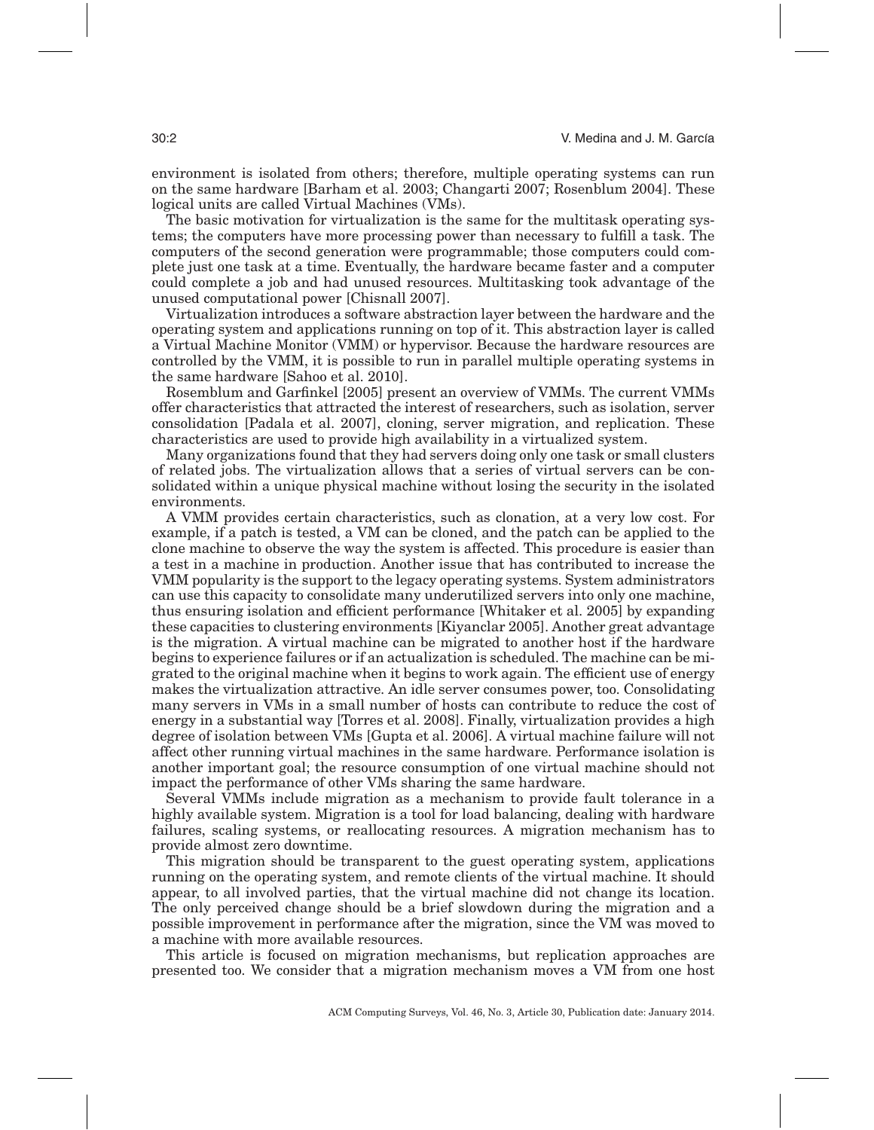environment is isolated from others; therefore, multiple operating systems can run on the same hardware [Barham et al. [2003;](#page-28-0) Changarti [2007;](#page-28-1) Rosenblum [2004\]](#page-30-0). These logical units are called Virtual Machines (VMs).

The basic motivation for virtualization is the same for the multitask operating systems; the computers have more processing power than necessary to fulfill a task. The computers of the second generation were programmable; those computers could complete just one task at a time. Eventually, the hardware became faster and a computer could complete a job and had unused resources. Multitasking took advantage of the unused computational power [Chisnall [2007\]](#page-28-2).

Virtualization introduces a software abstraction layer between the hardware and the operating system and applications running on top of it. This abstraction layer is called a Virtual Machine Monitor (VMM) or hypervisor. Because the hardware resources are controlled by the VMM, it is possible to run in parallel multiple operating systems in the same hardware [Sahoo et al. [2010\]](#page-31-1).

Rosemblum and Garfinkel [\[2005\]](#page-30-1) present an overview of VMMs. The current VMMs offer characteristics that attracted the interest of researchers, such as isolation, server consolidation [Padala et al. [2007\]](#page-30-2), cloning, server migration, and replication. These characteristics are used to provide high availability in a virtualized system.

Many organizations found that they had servers doing only one task or small clusters of related jobs. The virtualization allows that a series of virtual servers can be consolidated within a unique physical machine without losing the security in the isolated environments.

A VMM provides certain characteristics, such as clonation, at a very low cost. For example, if a patch is tested, a VM can be cloned, and the patch can be applied to the clone machine to observe the way the system is affected. This procedure is easier than a test in a machine in production. Another issue that has contributed to increase the VMM popularity is the support to the legacy operating systems. System administrators can use this capacity to consolidate many underutilized servers into only one machine, thus ensuring isolation and efficient performance [Whitaker et al. [2005\]](#page-31-2) by expanding these capacities to clustering environments [Kiyanclar [2005\]](#page-30-3). Another great advantage is the migration. A virtual machine can be migrated to another host if the hardware begins to experience failures or if an actualization is scheduled. The machine can be migrated to the original machine when it begins to work again. The efficient use of energy makes the virtualization attractive. An idle server consumes power, too. Consolidating many servers in VMs in a small number of hosts can contribute to reduce the cost of energy in a substantial way [Torres et al. [2008\]](#page-31-3). Finally, virtualization provides a high degree of isolation between VMs [Gupta et al. [2006\]](#page-29-2). A virtual machine failure will not affect other running virtual machines in the same hardware. Performance isolation is another important goal; the resource consumption of one virtual machine should not impact the performance of other VMs sharing the same hardware.

Several VMMs include migration as a mechanism to provide fault tolerance in a highly available system. Migration is a tool for load balancing, dealing with hardware failures, scaling systems, or reallocating resources. A migration mechanism has to provide almost zero downtime.

This migration should be transparent to the guest operating system, applications running on the operating system, and remote clients of the virtual machine. It should appear, to all involved parties, that the virtual machine did not change its location. The only perceived change should be a brief slowdown during the migration and a possible improvement in performance after the migration, since the VM was moved to a machine with more available resources.

This article is focused on migration mechanisms, but replication approaches are presented too. We consider that a migration mechanism moves a VM from one host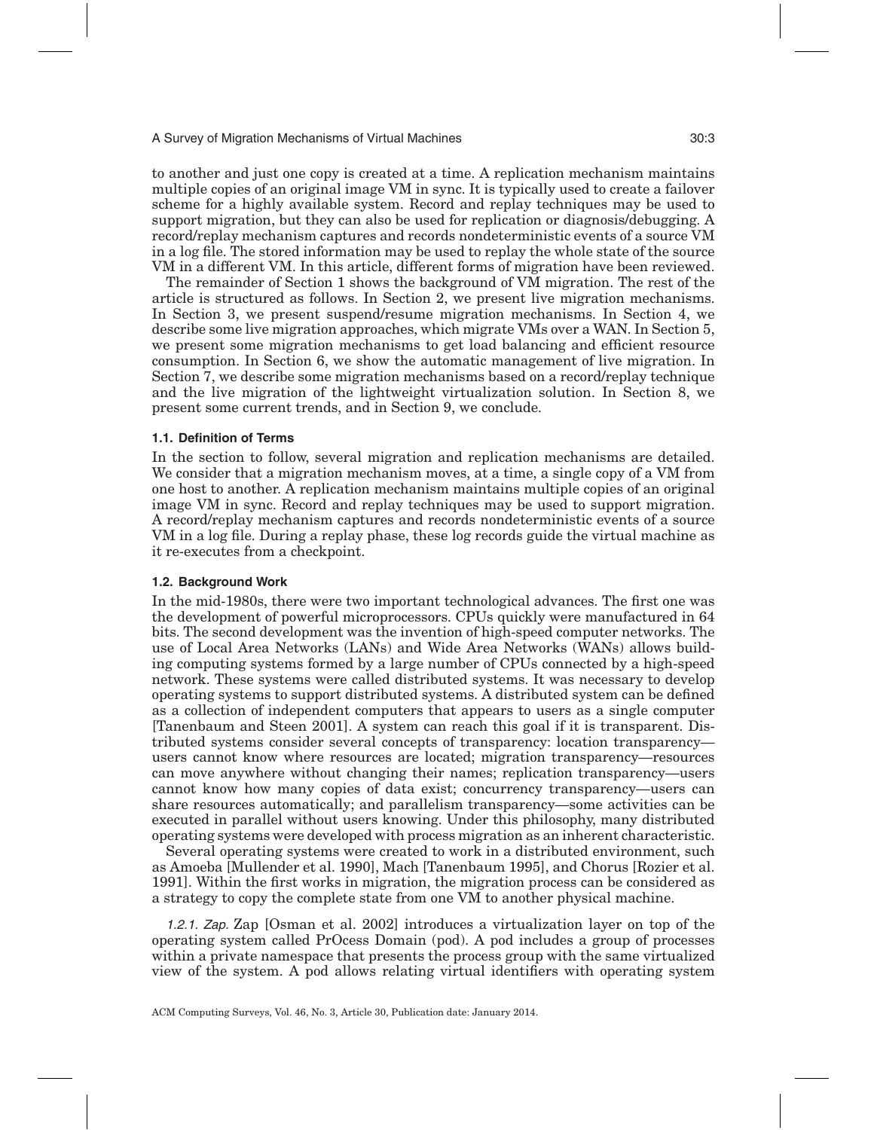to another and just one copy is created at a time. A replication mechanism maintains multiple copies of an original image VM in sync. It is typically used to create a failover scheme for a highly available system. Record and replay techniques may be used to support migration, but they can also be used for replication or diagnosis/debugging. A record/replay mechanism captures and records nondeterministic events of a source VM in a log file. The stored information may be used to replay the whole state of the source VM in a different VM. In this article, different forms of migration have been reviewed.

The remainder of Section [1](#page-0-0) shows the background of VM migration. The rest of the article is structured as follows. In Section [2,](#page-4-0) we present live migration mechanisms. In Section [3,](#page-10-0) we present suspend/resume migration mechanisms. In Section [4,](#page-13-0) we describe some live migration approaches, which migrate VMs over a WAN. In Section [5,](#page-17-0) we present some migration mechanisms to get load balancing and efficient resource consumption. In Section [6,](#page-19-0) we show the automatic management of live migration. In Section [7,](#page-21-0) we describe some migration mechanisms based on a record/replay technique and the live migration of the lightweight virtualization solution. In Section [8,](#page-25-0) we present some current trends, and in Section [9,](#page-26-0) we conclude.

## **1.1. Definition of Terms**

In the section to follow, several migration and replication mechanisms are detailed. We consider that a migration mechanism moves, at a time, a single copy of a VM from one host to another. A replication mechanism maintains multiple copies of an original image VM in sync. Record and replay techniques may be used to support migration. A record/replay mechanism captures and records nondeterministic events of a source VM in a log file. During a replay phase, these log records guide the virtual machine as it re-executes from a checkpoint.

#### **1.2. Background Work**

In the mid-1980s, there were two important technological advances. The first one was the development of powerful microprocessors. CPUs quickly were manufactured in 64 bits. The second development was the invention of high-speed computer networks. The use of Local Area Networks (LANs) and Wide Area Networks (WANs) allows building computing systems formed by a large number of CPUs connected by a high-speed network. These systems were called distributed systems. It was necessary to develop operating systems to support distributed systems. A distributed system can be defined as a collection of independent computers that appears to users as a single computer [Tanenbaum and Steen [2001\]](#page-31-4). A system can reach this goal if it is transparent. Distributed systems consider several concepts of transparency: location transparency users cannot know where resources are located; migration transparency—resources can move anywhere without changing their names; replication transparency—users cannot know how many copies of data exist; concurrency transparency—users can share resources automatically; and parallelism transparency—some activities can be executed in parallel without users knowing. Under this philosophy, many distributed operating systems were developed with process migration as an inherent characteristic.

Several operating systems were created to work in a distributed environment, such as Amoeba [Mullender et al. [1990\]](#page-30-4), Mach [Tanenbaum [1995\]](#page-31-5), and Chorus [Rozier et al. [1991\]](#page-30-5). Within the first works in migration, the migration process can be considered as a strategy to copy the complete state from one VM to another physical machine.

1.2.1. Zap. Zap [Osman et al. [2002\]](#page-30-6) introduces a virtualization layer on top of the operating system called PrOcess Domain (pod). A pod includes a group of processes within a private namespace that presents the process group with the same virtualized view of the system. A pod allows relating virtual identifiers with operating system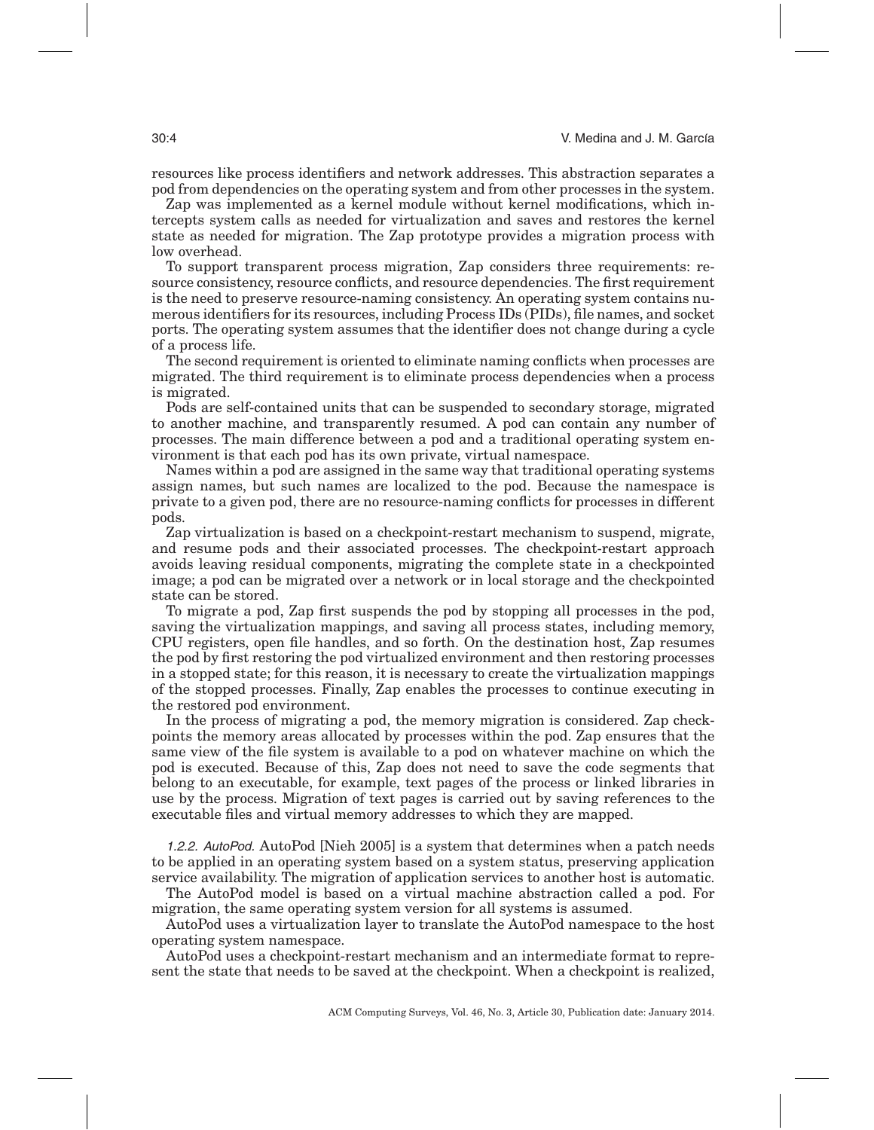resources like process identifiers and network addresses. This abstraction separates a pod from dependencies on the operating system and from other processes in the system.

Zap was implemented as a kernel module without kernel modifications, which intercepts system calls as needed for virtualization and saves and restores the kernel state as needed for migration. The Zap prototype provides a migration process with low overhead.

To support transparent process migration, Zap considers three requirements: resource consistency, resource conflicts, and resource dependencies. The first requirement is the need to preserve resource-naming consistency. An operating system contains numerous identifiers for its resources, including Process IDs (PIDs), file names, and socket ports. The operating system assumes that the identifier does not change during a cycle of a process life.

The second requirement is oriented to eliminate naming conflicts when processes are migrated. The third requirement is to eliminate process dependencies when a process is migrated.

Pods are self-contained units that can be suspended to secondary storage, migrated to another machine, and transparently resumed. A pod can contain any number of processes. The main difference between a pod and a traditional operating system environment is that each pod has its own private, virtual namespace.

Names within a pod are assigned in the same way that traditional operating systems assign names, but such names are localized to the pod. Because the namespace is private to a given pod, there are no resource-naming conflicts for processes in different pods.

Zap virtualization is based on a checkpoint-restart mechanism to suspend, migrate, and resume pods and their associated processes. The checkpoint-restart approach avoids leaving residual components, migrating the complete state in a checkpointed image; a pod can be migrated over a network or in local storage and the checkpointed state can be stored.

To migrate a pod, Zap first suspends the pod by stopping all processes in the pod, saving the virtualization mappings, and saving all process states, including memory, CPU registers, open file handles, and so forth. On the destination host, Zap resumes the pod by first restoring the pod virtualized environment and then restoring processes in a stopped state; for this reason, it is necessary to create the virtualization mappings of the stopped processes. Finally, Zap enables the processes to continue executing in the restored pod environment.

In the process of migrating a pod, the memory migration is considered. Zap checkpoints the memory areas allocated by processes within the pod. Zap ensures that the same view of the file system is available to a pod on whatever machine on which the pod is executed. Because of this, Zap does not need to save the code segments that belong to an executable, for example, text pages of the process or linked libraries in use by the process. Migration of text pages is carried out by saving references to the executable files and virtual memory addresses to which they are mapped.

1.2.2. AutoPod. AutoPod [Nieh [2005\]](#page-30-7) is a system that determines when a patch needs to be applied in an operating system based on a system status, preserving application service availability. The migration of application services to another host is automatic.

The AutoPod model is based on a virtual machine abstraction called a pod. For migration, the same operating system version for all systems is assumed.

AutoPod uses a virtualization layer to translate the AutoPod namespace to the host operating system namespace.

AutoPod uses a checkpoint-restart mechanism and an intermediate format to represent the state that needs to be saved at the checkpoint. When a checkpoint is realized,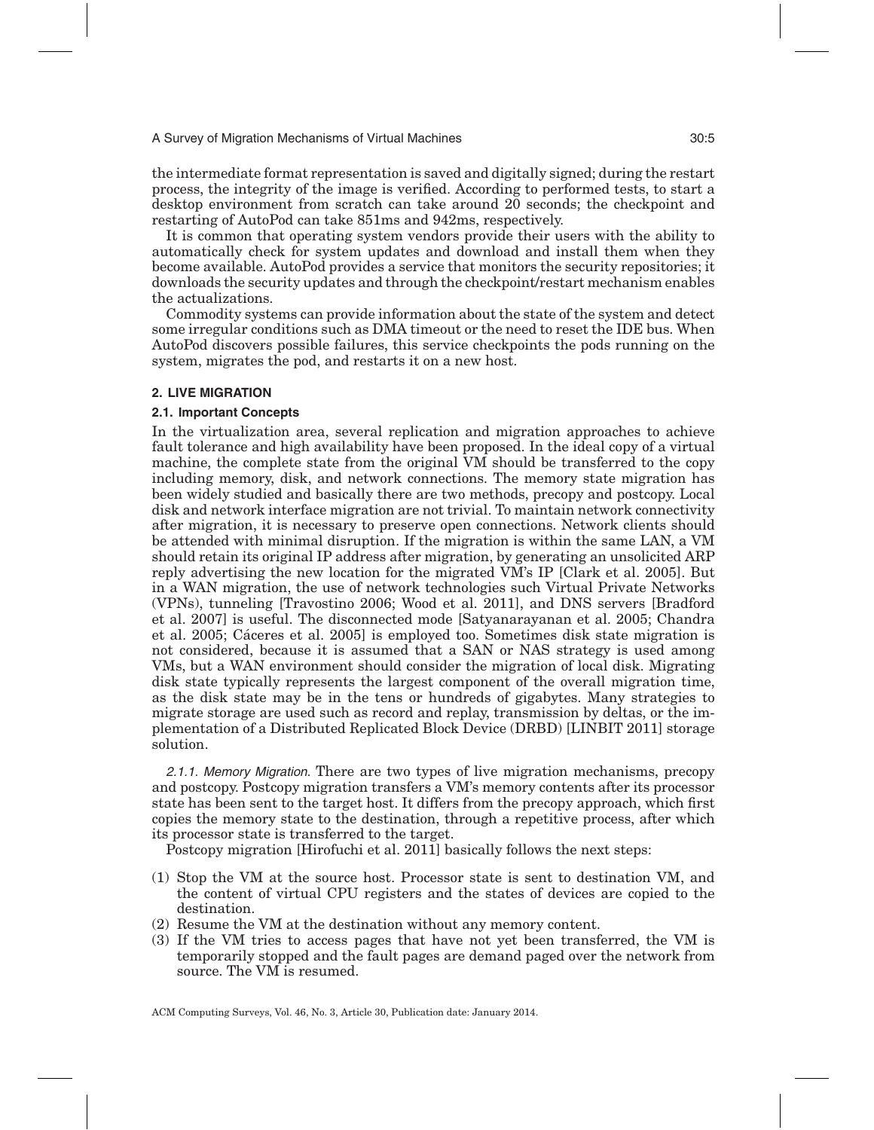the intermediate format representation is saved and digitally signed; during the restart process, the integrity of the image is verified. According to performed tests, to start a desktop environment from scratch can take around 20 seconds; the checkpoint and restarting of AutoPod can take 851ms and 942ms, respectively.

It is common that operating system vendors provide their users with the ability to automatically check for system updates and download and install them when they become available. AutoPod provides a service that monitors the security repositories; it downloads the security updates and through the checkpoint/restart mechanism enables the actualizations.

Commodity systems can provide information about the state of the system and detect some irregular conditions such as DMA timeout or the need to reset the IDE bus. When AutoPod discovers possible failures, this service checkpoints the pods running on the system, migrates the pod, and restarts it on a new host.

#### **2. LIVE MIGRATION**

#### <span id="page-4-0"></span>**2.1. Important Concepts**

In the virtualization area, several replication and migration approaches to achieve fault tolerance and high availability have been proposed. In the ideal copy of a virtual machine, the complete state from the original VM should be transferred to the copy including memory, disk, and network connections. The memory state migration has been widely studied and basically there are two methods, precopy and postcopy. Local disk and network interface migration are not trivial. To maintain network connectivity after migration, it is necessary to preserve open connections. Network clients should be attended with minimal disruption. If the migration is within the same LAN, a VM should retain its original IP address after migration, by generating an unsolicited ARP reply advertising the new location for the migrated VM's IP [Clark et al. [2005\]](#page-29-3). But in a WAN migration, the use of network technologies such Virtual Private Networks (VPNs), tunneling [Travostino [2006;](#page-31-6) Wood et al. [2011\]](#page-32-0), and DNS servers [Bradford et al. 2007] is useful. The disconnected mode [Satyanarayanan et al. [2005;](#page-31-7) Chandra et al. [2005;](#page-28-3) Caceres et al. [2005\]](#page-28-4) is employed too. Sometimes disk state migration is ´ not considered, because it is assumed that a SAN or NAS strategy is used among VMs, but a WAN environment should consider the migration of local disk. Migrating disk state typically represents the largest component of the overall migration time, as the disk state may be in the tens or hundreds of gigabytes. Many strategies to migrate storage are used such as record and replay, transmission by deltas, or the implementation of a Distributed Replicated Block Device (DRBD) [LINBIT [2011\]](#page-30-8) storage solution.

2.1.1. Memory Migration. There are two types of live migration mechanisms, precopy and postcopy. Postcopy migration transfers a VM's memory contents after its processor state has been sent to the target host. It differs from the precopy approach, which first copies the memory state to the destination, through a repetitive process, after which its processor state is transferred to the target.

Postcopy migration [Hirofuchi et al. [2011\]](#page-29-4) basically follows the next steps:

- (1) Stop the VM at the source host. Processor state is sent to destination VM, and the content of virtual CPU registers and the states of devices are copied to the destination.
- (2) Resume the VM at the destination without any memory content.
- (3) If the VM tries to access pages that have not yet been transferred, the VM is temporarily stopped and the fault pages are demand paged over the network from source. The VM is resumed.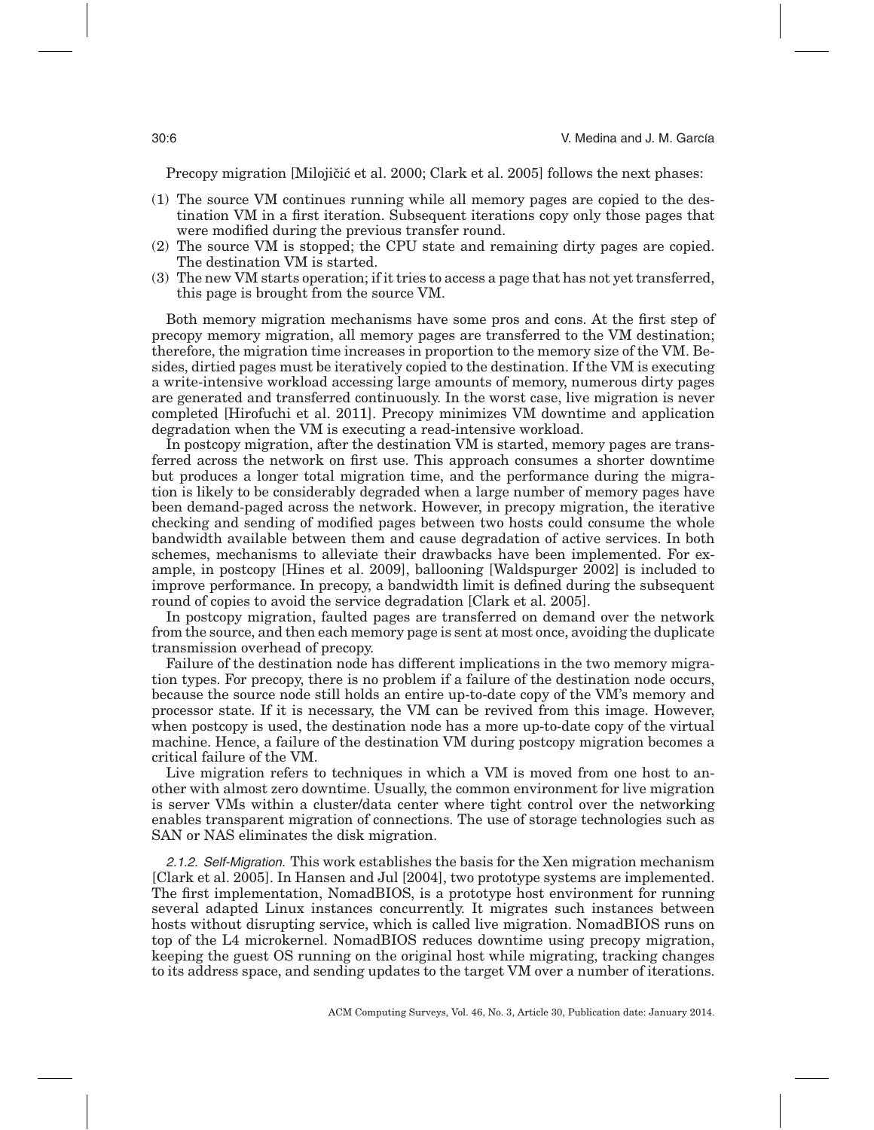Precopy migration [Milojičić et al. [2000;](#page-30-9) Clark et al. [2005\]](#page-29-3) follows the next phases:

- (1) The source VM continues running while all memory pages are copied to the destination VM in a first iteration. Subsequent iterations copy only those pages that were modified during the previous transfer round.
- (2) The source VM is stopped; the CPU state and remaining dirty pages are copied. The destination VM is started.
- (3) The new VM starts operation; if it tries to access a page that has not yet transferred, this page is brought from the source VM.

Both memory migration mechanisms have some pros and cons. At the first step of precopy memory migration, all memory pages are transferred to the VM destination; therefore, the migration time increases in proportion to the memory size of the VM. Besides, dirtied pages must be iteratively copied to the destination. If the VM is executing a write-intensive workload accessing large amounts of memory, numerous dirty pages are generated and transferred continuously. In the worst case, live migration is never completed [Hirofuchi et al. [2011\]](#page-29-4). Precopy minimizes VM downtime and application degradation when the VM is executing a read-intensive workload.

In postcopy migration, after the destination VM is started, memory pages are transferred across the network on first use. This approach consumes a shorter downtime but produces a longer total migration time, and the performance during the migration is likely to be considerably degraded when a large number of memory pages have been demand-paged across the network. However, in precopy migration, the iterative checking and sending of modified pages between two hosts could consume the whole bandwidth available between them and cause degradation of active services. In both schemes, mechanisms to alleviate their drawbacks have been implemented. For example, in postcopy [Hines et al. [2009\]](#page-29-5), ballooning [Waldspurger [2002\]](#page-31-8) is included to improve performance. In precopy, a bandwidth limit is defined during the subsequent round of copies to avoid the service degradation [Clark et al. [2005\]](#page-29-3).

In postcopy migration, faulted pages are transferred on demand over the network from the source, and then each memory page is sent at most once, avoiding the duplicate transmission overhead of precopy.

Failure of the destination node has different implications in the two memory migration types. For precopy, there is no problem if a failure of the destination node occurs, because the source node still holds an entire up-to-date copy of the VM's memory and processor state. If it is necessary, the VM can be revived from this image. However, when postcopy is used, the destination node has a more up-to-date copy of the virtual machine. Hence, a failure of the destination VM during postcopy migration becomes a critical failure of the VM.

Live migration refers to techniques in which a VM is moved from one host to another with almost zero downtime. Usually, the common environment for live migration is server VMs within a cluster/data center where tight control over the networking enables transparent migration of connections. The use of storage technologies such as SAN or NAS eliminates the disk migration.

2.1.2. Self-Migration. This work establishes the basis for the Xen migration mechanism [Clark et al. [2005\]](#page-29-3). In Hansen and Jul [\[2004\]](#page-29-6), two prototype systems are implemented. The first implementation, NomadBIOS, is a prototype host environment for running several adapted Linux instances concurrently. It migrates such instances between hosts without disrupting service, which is called live migration. NomadBIOS runs on top of the L4 microkernel. NomadBIOS reduces downtime using precopy migration, keeping the guest OS running on the original host while migrating, tracking changes to its address space, and sending updates to the target VM over a number of iterations.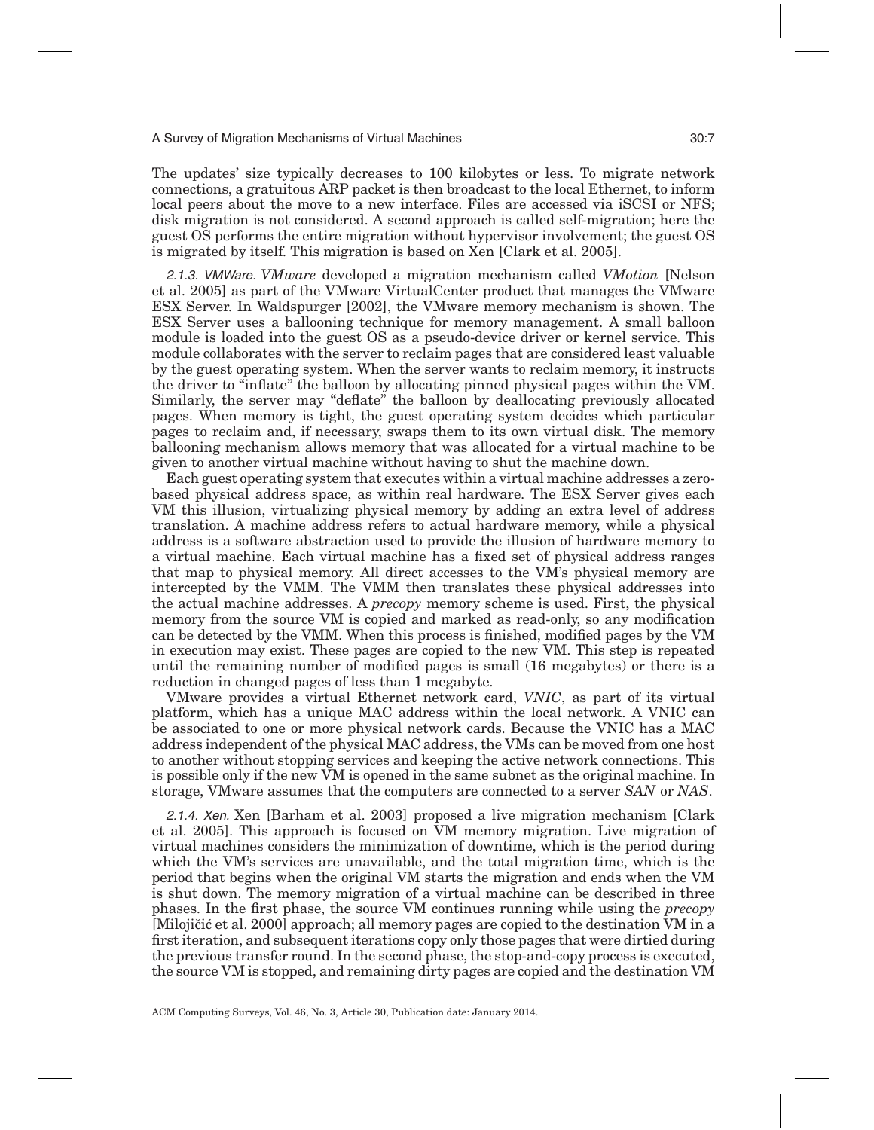The updates' size typically decreases to 100 kilobytes or less. To migrate network connections, a gratuitous ARP packet is then broadcast to the local Ethernet, to inform local peers about the move to a new interface. Files are accessed via iSCSI or NFS; disk migration is not considered. A second approach is called self-migration; here the guest OS performs the entire migration without hypervisor involvement; the guest OS is migrated by itself. This migration is based on Xen [Clark et al. 2005].

2.1.3. VMWare. *VMware* developed a migration mechanism called *VMotion* [Nelson et al. [2005\]](#page-30-10) as part of the VMware VirtualCenter product that manages the VMware ESX Server. In Waldspurger [\[2002\]](#page-31-8), the VMware memory mechanism is shown. The ESX Server uses a ballooning technique for memory management. A small balloon module is loaded into the guest OS as a pseudo-device driver or kernel service. This module collaborates with the server to reclaim pages that are considered least valuable by the guest operating system. When the server wants to reclaim memory, it instructs the driver to "inflate" the balloon by allocating pinned physical pages within the VM. Similarly, the server may "deflate" the balloon by deallocating previously allocated pages. When memory is tight, the guest operating system decides which particular pages to reclaim and, if necessary, swaps them to its own virtual disk. The memory ballooning mechanism allows memory that was allocated for a virtual machine to be given to another virtual machine without having to shut the machine down.

Each guest operating system that executes within a virtual machine addresses a zerobased physical address space, as within real hardware. The ESX Server gives each VM this illusion, virtualizing physical memory by adding an extra level of address translation. A machine address refers to actual hardware memory, while a physical address is a software abstraction used to provide the illusion of hardware memory to a virtual machine. Each virtual machine has a fixed set of physical address ranges that map to physical memory. All direct accesses to the VM's physical memory are intercepted by the VMM. The VMM then translates these physical addresses into the actual machine addresses. A *precopy* memory scheme is used. First, the physical memory from the source VM is copied and marked as read-only, so any modification can be detected by the VMM. When this process is finished, modified pages by the VM in execution may exist. These pages are copied to the new VM. This step is repeated until the remaining number of modified pages is small (16 megabytes) or there is a reduction in changed pages of less than 1 megabyte.

VMware provides a virtual Ethernet network card, *VNIC*, as part of its virtual platform, which has a unique MAC address within the local network. A VNIC can be associated to one or more physical network cards. Because the VNIC has a MAC address independent of the physical MAC address, the VMs can be moved from one host to another without stopping services and keeping the active network connections. This is possible only if the new VM is opened in the same subnet as the original machine. In storage, VMware assumes that the computers are connected to a server *SAN* or *NAS*.

2.1.4. Xen. Xen [Barham et al. [2003\]](#page-28-0) proposed a live migration mechanism [Clark et al. [2005\]](#page-29-3). This approach is focused on VM memory migration. Live migration of virtual machines considers the minimization of downtime, which is the period during which the VM's services are unavailable, and the total migration time, which is the period that begins when the original VM starts the migration and ends when the VM is shut down. The memory migration of a virtual machine can be described in three phases. In the first phase, the source VM continues running while using the *precopy* [Milojičić et al. [2000\]](#page-30-9) approach; all memory pages are copied to the destination VM in a first iteration, and subsequent iterations copy only those pages that were dirtied during the previous transfer round. In the second phase, the stop-and-copy process is executed, the source VM is stopped, and remaining dirty pages are copied and the destination VM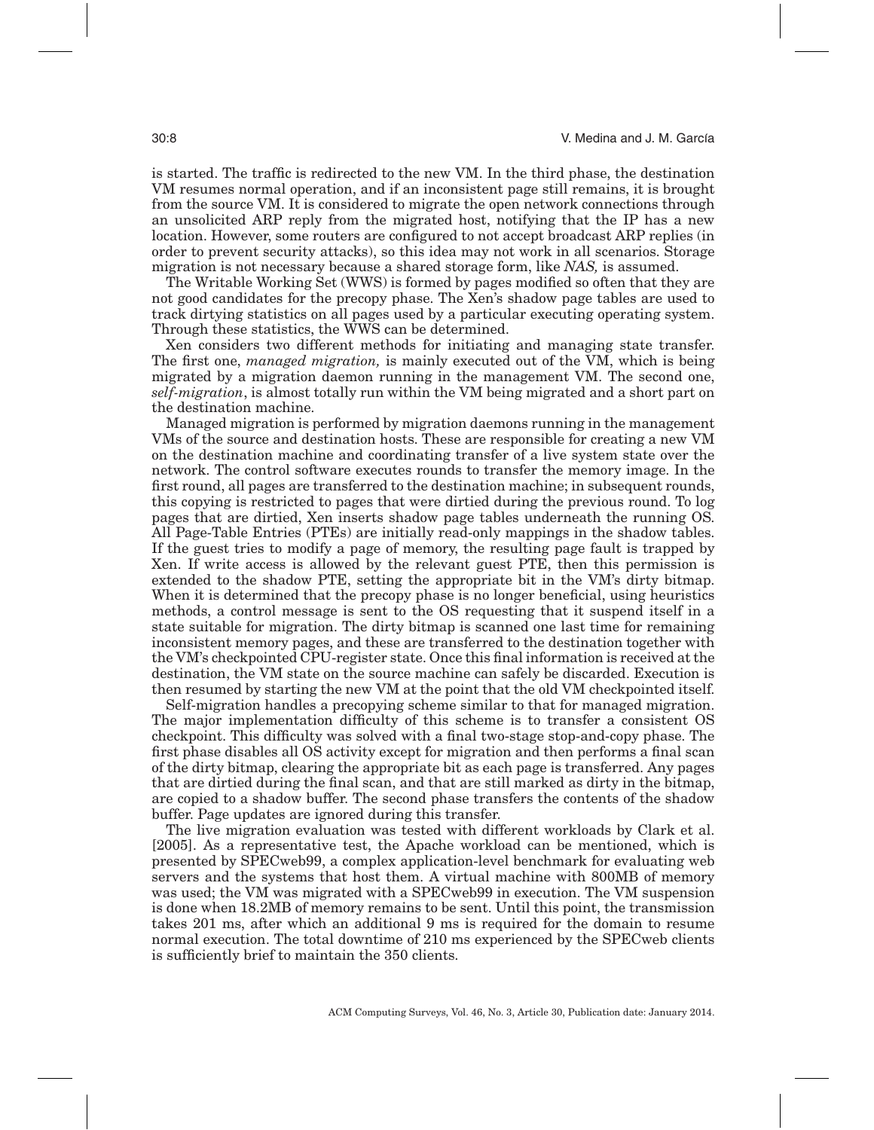is started. The traffic is redirected to the new VM. In the third phase, the destination VM resumes normal operation, and if an inconsistent page still remains, it is brought from the source VM. It is considered to migrate the open network connections through an unsolicited ARP reply from the migrated host, notifying that the IP has a new location. However, some routers are configured to not accept broadcast ARP replies (in order to prevent security attacks), so this idea may not work in all scenarios. Storage migration is not necessary because a shared storage form, like *NAS,* is assumed.

The Writable Working Set (WWS) is formed by pages modified so often that they are not good candidates for the precopy phase. The Xen's shadow page tables are used to track dirtying statistics on all pages used by a particular executing operating system. Through these statistics, the WWS can be determined.

Xen considers two different methods for initiating and managing state transfer. The first one, *managed migration,* is mainly executed out of the VM, which is being migrated by a migration daemon running in the management VM. The second one, *self-migration*, is almost totally run within the VM being migrated and a short part on the destination machine.

Managed migration is performed by migration daemons running in the management VMs of the source and destination hosts. These are responsible for creating a new VM on the destination machine and coordinating transfer of a live system state over the network. The control software executes rounds to transfer the memory image. In the first round, all pages are transferred to the destination machine; in subsequent rounds, this copying is restricted to pages that were dirtied during the previous round. To log pages that are dirtied, Xen inserts shadow page tables underneath the running OS. All Page-Table Entries (PTEs) are initially read-only mappings in the shadow tables. If the guest tries to modify a page of memory, the resulting page fault is trapped by Xen. If write access is allowed by the relevant guest PTE, then this permission is extended to the shadow PTE, setting the appropriate bit in the VM's dirty bitmap. When it is determined that the precopy phase is no longer beneficial, using heuristics methods, a control message is sent to the OS requesting that it suspend itself in a state suitable for migration. The dirty bitmap is scanned one last time for remaining inconsistent memory pages, and these are transferred to the destination together with the VM's checkpointed CPU-register state. Once this final information is received at the destination, the VM state on the source machine can safely be discarded. Execution is then resumed by starting the new VM at the point that the old VM checkpointed itself.

Self-migration handles a precopying scheme similar to that for managed migration. The major implementation difficulty of this scheme is to transfer a consistent OS checkpoint. This difficulty was solved with a final two-stage stop-and-copy phase. The first phase disables all OS activity except for migration and then performs a final scan of the dirty bitmap, clearing the appropriate bit as each page is transferred. Any pages that are dirtied during the final scan, and that are still marked as dirty in the bitmap, are copied to a shadow buffer. The second phase transfers the contents of the shadow buffer. Page updates are ignored during this transfer.

The live migration evaluation was tested with different workloads by Clark et al. [\[2005\]](#page-29-3). As a representative test, the Apache workload can be mentioned, which is presented by SPECweb99, a complex application-level benchmark for evaluating web servers and the systems that host them. A virtual machine with 800MB of memory was used; the VM was migrated with a SPECweb99 in execution. The VM suspension is done when 18.2MB of memory remains to be sent. Until this point, the transmission takes 201 ms, after which an additional 9 ms is required for the domain to resume normal execution. The total downtime of 210 ms experienced by the SPECweb clients is sufficiently brief to maintain the 350 clients.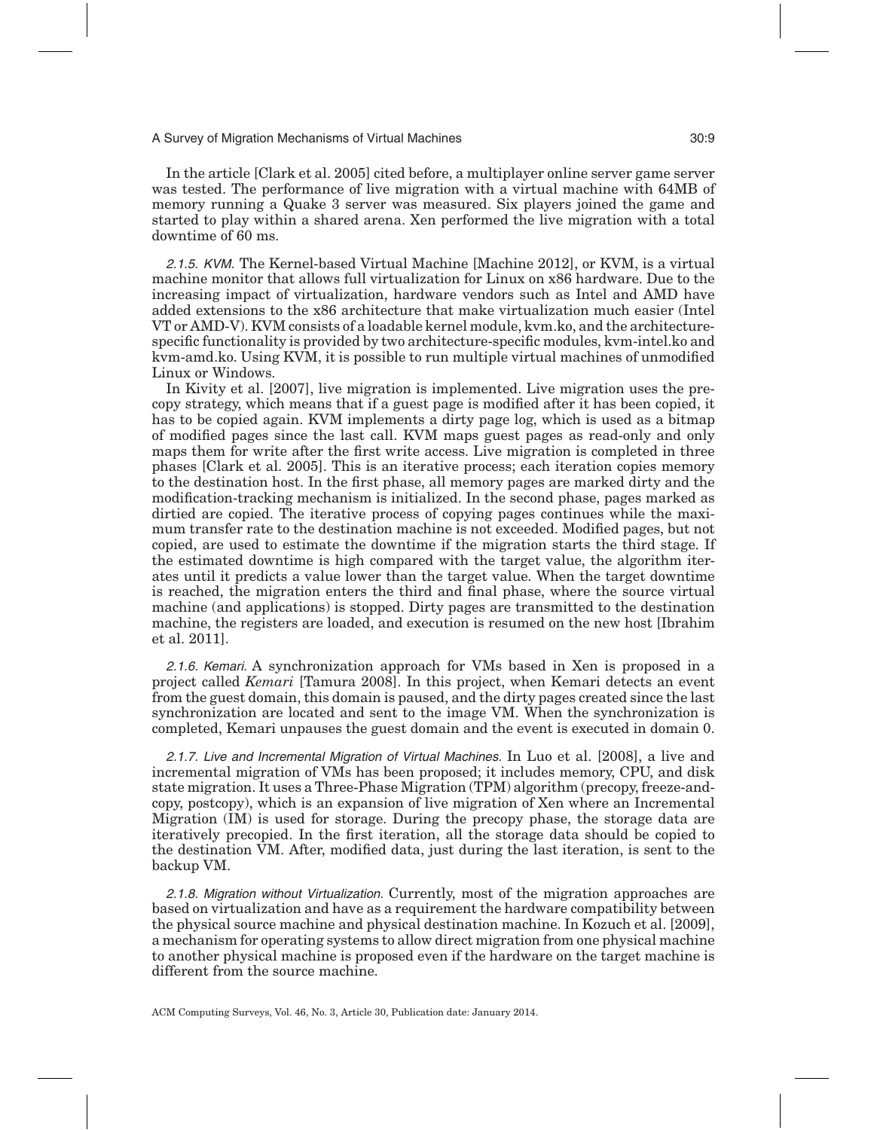In the article [Clark et al. 2005] cited before, a multiplayer online server game server was tested. The performance of live migration with a virtual machine with 64MB of memory running a Quake 3 server was measured. Six players joined the game and started to play within a shared arena. Xen performed the live migration with a total downtime of 60 ms.

2.1.5. KVM. The Kernel-based Virtual Machine [Machine [2012\]](#page-30-11), or KVM, is a virtual machine monitor that allows full virtualization for Linux on x86 hardware. Due to the increasing impact of virtualization, hardware vendors such as Intel and AMD have added extensions to the x86 architecture that make virtualization much easier (Intel VT or AMD-V). KVM consists of a loadable kernel module, kvm.ko, and the architecturespecific functionality is provided by two architecture-specific modules, kvm-intel.ko and kvm-amd.ko. Using KVM, it is possible to run multiple virtual machines of unmodified Linux or Windows.

In Kivity et al. [\[2007\]](#page-30-12), live migration is implemented. Live migration uses the precopy strategy, which means that if a guest page is modified after it has been copied, it has to be copied again. KVM implements a dirty page log, which is used as a bitmap of modified pages since the last call. KVM maps guest pages as read-only and only maps them for write after the first write access. Live migration is completed in three phases [Clark et al. [2005\]](#page-29-3). This is an iterative process; each iteration copies memory to the destination host. In the first phase, all memory pages are marked dirty and the modification-tracking mechanism is initialized. In the second phase, pages marked as dirtied are copied. The iterative process of copying pages continues while the maximum transfer rate to the destination machine is not exceeded. Modified pages, but not copied, are used to estimate the downtime if the migration starts the third stage. If the estimated downtime is high compared with the target value, the algorithm iterates until it predicts a value lower than the target value. When the target downtime is reached, the migration enters the third and final phase, where the source virtual machine (and applications) is stopped. Dirty pages are transmitted to the destination machine, the registers are loaded, and execution is resumed on the new host [Ibrahim et al. [2011\]](#page-29-7).

2.1.6. Kemari. A synchronization approach for VMs based in Xen is proposed in a project called *Kemari* [Tamura [2008\]](#page-31-9). In this project, when Kemari detects an event from the guest domain, this domain is paused, and the dirty pages created since the last synchronization are located and sent to the image VM. When the synchronization is completed, Kemari unpauses the guest domain and the event is executed in domain 0.

2.1.7. Live and Incremental Migration of Virtual Machines. In Luo et al. [\[2008\]](#page-30-13), a live and incremental migration of VMs has been proposed; it includes memory, CPU, and disk state migration. It uses a Three-Phase Migration (TPM) algorithm (precopy, freeze-andcopy, postcopy), which is an expansion of live migration of Xen where an Incremental Migration (IM) is used for storage. During the precopy phase, the storage data are iteratively precopied. In the first iteration, all the storage data should be copied to the destination VM. After, modified data, just during the last iteration, is sent to the backup VM.

2.1.8. Migration without Virtualization. Currently, most of the migration approaches are based on virtualization and have as a requirement the hardware compatibility between the physical source machine and physical destination machine. In Kozuch et al. [\[2009\]](#page-30-14), a mechanism for operating systems to allow direct migration from one physical machine to another physical machine is proposed even if the hardware on the target machine is different from the source machine.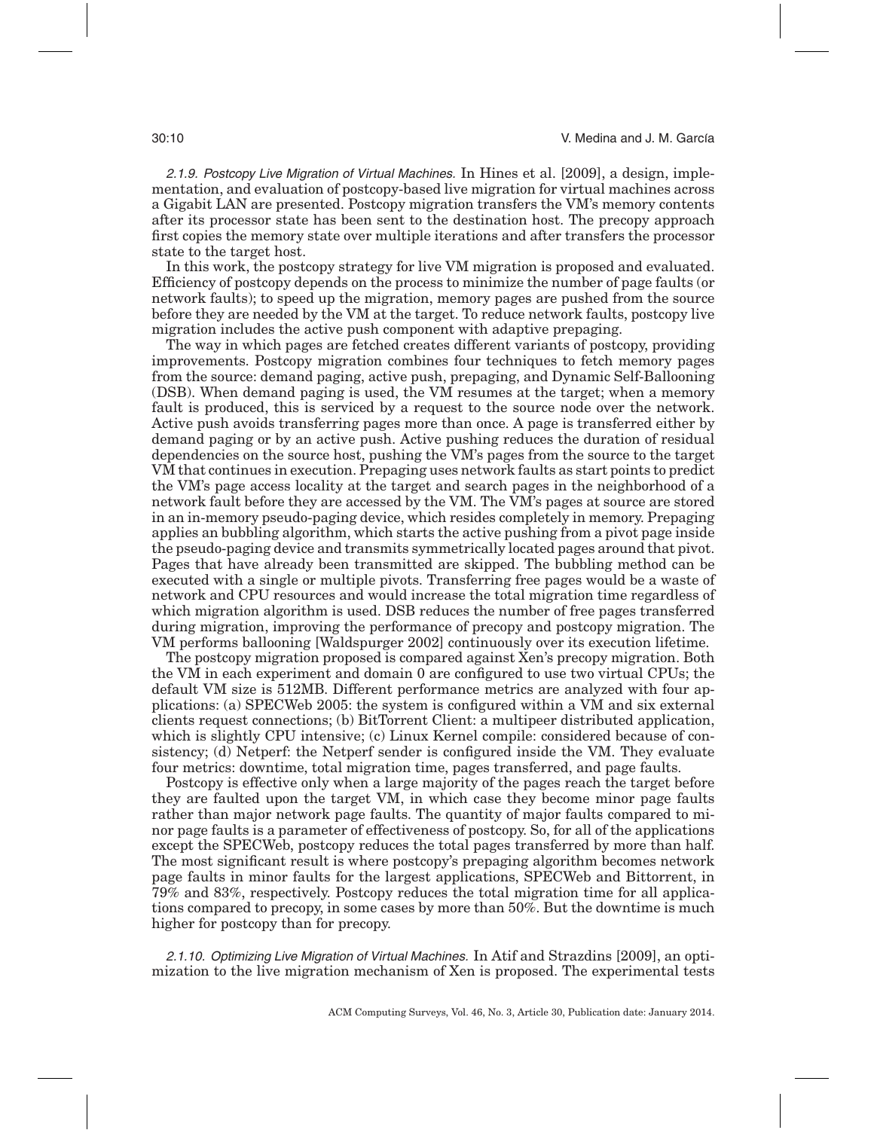2.1.9. Postcopy Live Migration of Virtual Machines. In Hines et al. [\[2009\]](#page-29-5), a design, implementation, and evaluation of postcopy-based live migration for virtual machines across a Gigabit LAN are presented. Postcopy migration transfers the VM's memory contents after its processor state has been sent to the destination host. The precopy approach first copies the memory state over multiple iterations and after transfers the processor state to the target host.

In this work, the postcopy strategy for live VM migration is proposed and evaluated. Efficiency of postcopy depends on the process to minimize the number of page faults (or network faults); to speed up the migration, memory pages are pushed from the source before they are needed by the VM at the target. To reduce network faults, postcopy live migration includes the active push component with adaptive prepaging.

The way in which pages are fetched creates different variants of postcopy, providing improvements. Postcopy migration combines four techniques to fetch memory pages from the source: demand paging, active push, prepaging, and Dynamic Self-Ballooning (DSB). When demand paging is used, the VM resumes at the target; when a memory fault is produced, this is serviced by a request to the source node over the network. Active push avoids transferring pages more than once. A page is transferred either by demand paging or by an active push. Active pushing reduces the duration of residual dependencies on the source host, pushing the VM's pages from the source to the target VM that continues in execution. Prepaging uses network faults as start points to predict the VM's page access locality at the target and search pages in the neighborhood of a network fault before they are accessed by the VM. The VM's pages at source are stored in an in-memory pseudo-paging device, which resides completely in memory. Prepaging applies an bubbling algorithm, which starts the active pushing from a pivot page inside the pseudo-paging device and transmits symmetrically located pages around that pivot. Pages that have already been transmitted are skipped. The bubbling method can be executed with a single or multiple pivots. Transferring free pages would be a waste of network and CPU resources and would increase the total migration time regardless of which migration algorithm is used. DSB reduces the number of free pages transferred during migration, improving the performance of precopy and postcopy migration. The VM performs ballooning [Waldspurger [2002\]](#page-31-8) continuously over its execution lifetime.

The postcopy migration proposed is compared against Xen's precopy migration. Both the VM in each experiment and domain 0 are configured to use two virtual CPUs; the default VM size is 512MB. Different performance metrics are analyzed with four applications: (a) SPECWeb 2005: the system is configured within a VM and six external clients request connections; (b) BitTorrent Client: a multipeer distributed application, which is slightly CPU intensive; (c) Linux Kernel compile: considered because of consistency; (d) Netperf: the Netperf sender is configured inside the VM. They evaluate four metrics: downtime, total migration time, pages transferred, and page faults.

Postcopy is effective only when a large majority of the pages reach the target before they are faulted upon the target VM, in which case they become minor page faults rather than major network page faults. The quantity of major faults compared to minor page faults is a parameter of effectiveness of postcopy. So, for all of the applications except the SPECWeb, postcopy reduces the total pages transferred by more than half. The most significant result is where postcopy's prepaging algorithm becomes network page faults in minor faults for the largest applications, SPECWeb and Bittorrent, in 79% and 83%, respectively. Postcopy reduces the total migration time for all applications compared to precopy, in some cases by more than 50%. But the downtime is much higher for postcopy than for precopy.

2.1.10. Optimizing Live Migration of Virtual Machines. In Atif and Strazdins [\[2009\]](#page-28-5), an optimization to the live migration mechanism of Xen is proposed. The experimental tests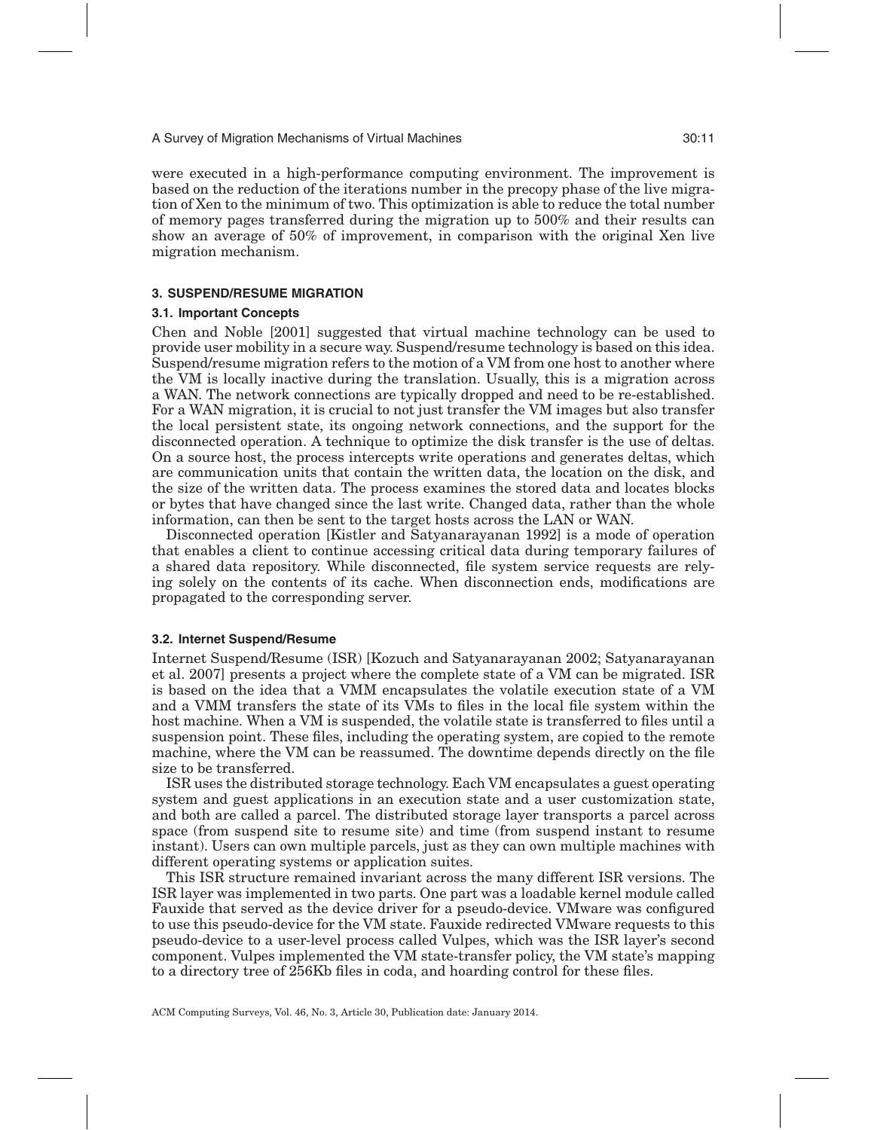were executed in a high-performance computing environment. The improvement is based on the reduction of the iterations number in the precopy phase of the live migration of Xen to the minimum of two. This optimization is able to reduce the total number of memory pages transferred during the migration up to 500% and their results can show an average of 50% of improvement, in comparison with the original Xen live migration mechanism.

## **3. SUSPEND/RESUME MIGRATION**

## <span id="page-10-0"></span>**3.1. Important Concepts**

Chen and Noble [\[2001\]](#page-28-6) suggested that virtual machine technology can be used to provide user mobility in a secure way. Suspend/resume technology is based on this idea. Suspend/resume migration refers to the motion of a VM from one host to another where the VM is locally inactive during the translation. Usually, this is a migration across a WAN. The network connections are typically dropped and need to be re-established. For a WAN migration, it is crucial to not just transfer the VM images but also transfer the local persistent state, its ongoing network connections, and the support for the disconnected operation. A technique to optimize the disk transfer is the use of deltas. On a source host, the process intercepts write operations and generates deltas, which are communication units that contain the written data, the location on the disk, and the size of the written data. The process examines the stored data and locates blocks or bytes that have changed since the last write. Changed data, rather than the whole information, can then be sent to the target hosts across the LAN or WAN.

Disconnected operation [Kistler and Satyanarayanan [1992\]](#page-29-8) is a mode of operation that enables a client to continue accessing critical data during temporary failures of a shared data repository. While disconnected, file system service requests are relying solely on the contents of its cache. When disconnection ends, modifications are propagated to the corresponding server.

#### **3.2. Internet Suspend/Resume**

Internet Suspend/Resume (ISR) [Kozuch and Satyanarayanan [2002;](#page-30-15) Satyanarayanan et al. [2007\]](#page-31-10) presents a project where the complete state of a VM can be migrated. ISR is based on the idea that a VMM encapsulates the volatile execution state of a VM and a VMM transfers the state of its VMs to files in the local file system within the host machine. When a VM is suspended, the volatile state is transferred to files until a suspension point. These files, including the operating system, are copied to the remote machine, where the VM can be reassumed. The downtime depends directly on the file size to be transferred.

ISR uses the distributed storage technology. Each VM encapsulates a guest operating system and guest applications in an execution state and a user customization state, and both are called a parcel. The distributed storage layer transports a parcel across space (from suspend site to resume site) and time (from suspend instant to resume instant). Users can own multiple parcels, just as they can own multiple machines with different operating systems or application suites.

This ISR structure remained invariant across the many different ISR versions. The ISR layer was implemented in two parts. One part was a loadable kernel module called Fauxide that served as the device driver for a pseudo-device. VMware was configured to use this pseudo-device for the VM state. Fauxide redirected VMware requests to this pseudo-device to a user-level process called Vulpes, which was the ISR layer's second component. Vulpes implemented the VM state-transfer policy, the VM state's mapping to a directory tree of 256Kb files in coda, and hoarding control for these files.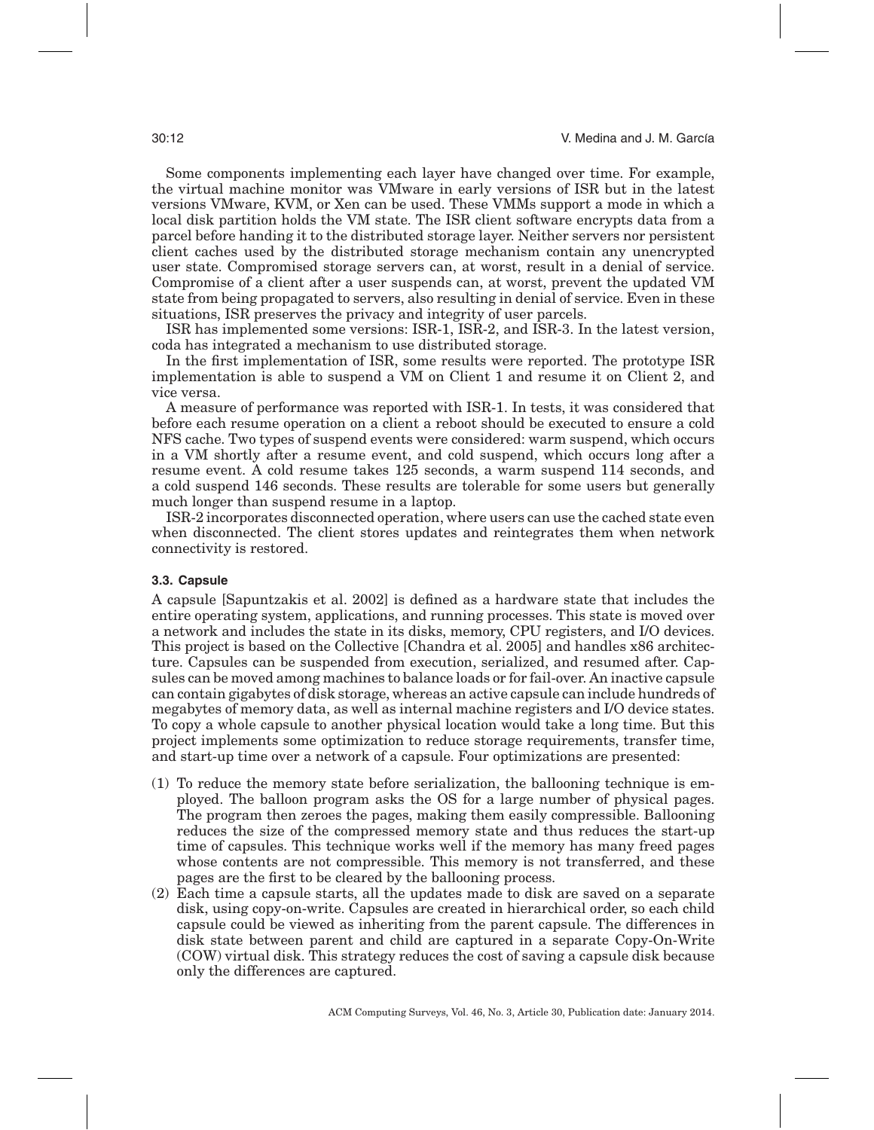Some components implementing each layer have changed over time. For example, the virtual machine monitor was VMware in early versions of ISR but in the latest versions VMware, KVM, or Xen can be used. These VMMs support a mode in which a local disk partition holds the VM state. The ISR client software encrypts data from a parcel before handing it to the distributed storage layer. Neither servers nor persistent client caches used by the distributed storage mechanism contain any unencrypted user state. Compromised storage servers can, at worst, result in a denial of service. Compromise of a client after a user suspends can, at worst, prevent the updated VM state from being propagated to servers, also resulting in denial of service. Even in these situations, ISR preserves the privacy and integrity of user parcels.

ISR has implemented some versions: ISR-1, ISR-2, and ISR-3. In the latest version, coda has integrated a mechanism to use distributed storage.

In the first implementation of ISR, some results were reported. The prototype ISR implementation is able to suspend a VM on Client 1 and resume it on Client 2, and vice versa.

A measure of performance was reported with ISR-1. In tests, it was considered that before each resume operation on a client a reboot should be executed to ensure a cold NFS cache. Two types of suspend events were considered: warm suspend, which occurs in a VM shortly after a resume event, and cold suspend, which occurs long after a resume event. A cold resume takes 125 seconds, a warm suspend 114 seconds, and a cold suspend 146 seconds. These results are tolerable for some users but generally much longer than suspend resume in a laptop.

ISR-2 incorporates disconnected operation, where users can use the cached state even when disconnected. The client stores updates and reintegrates them when network connectivity is restored.

#### **3.3. Capsule**

A capsule [Sapuntzakis et al. [2002\]](#page-31-11) is defined as a hardware state that includes the entire operating system, applications, and running processes. This state is moved over a network and includes the state in its disks, memory, CPU registers, and I/O devices. This project is based on the Collective [Chandra et al. [2005\]](#page-28-3) and handles x86 architecture. Capsules can be suspended from execution, serialized, and resumed after. Capsules can be moved among machines to balance loads or for fail-over. An inactive capsule can contain gigabytes of disk storage, whereas an active capsule can include hundreds of megabytes of memory data, as well as internal machine registers and I/O device states. To copy a whole capsule to another physical location would take a long time. But this project implements some optimization to reduce storage requirements, transfer time, and start-up time over a network of a capsule. Four optimizations are presented:

- (1) To reduce the memory state before serialization, the ballooning technique is employed. The balloon program asks the OS for a large number of physical pages. The program then zeroes the pages, making them easily compressible. Ballooning reduces the size of the compressed memory state and thus reduces the start-up time of capsules. This technique works well if the memory has many freed pages whose contents are not compressible. This memory is not transferred, and these pages are the first to be cleared by the ballooning process.
- (2) Each time a capsule starts, all the updates made to disk are saved on a separate disk, using copy-on-write. Capsules are created in hierarchical order, so each child capsule could be viewed as inheriting from the parent capsule. The differences in disk state between parent and child are captured in a separate Copy-On-Write (COW) virtual disk. This strategy reduces the cost of saving a capsule disk because only the differences are captured.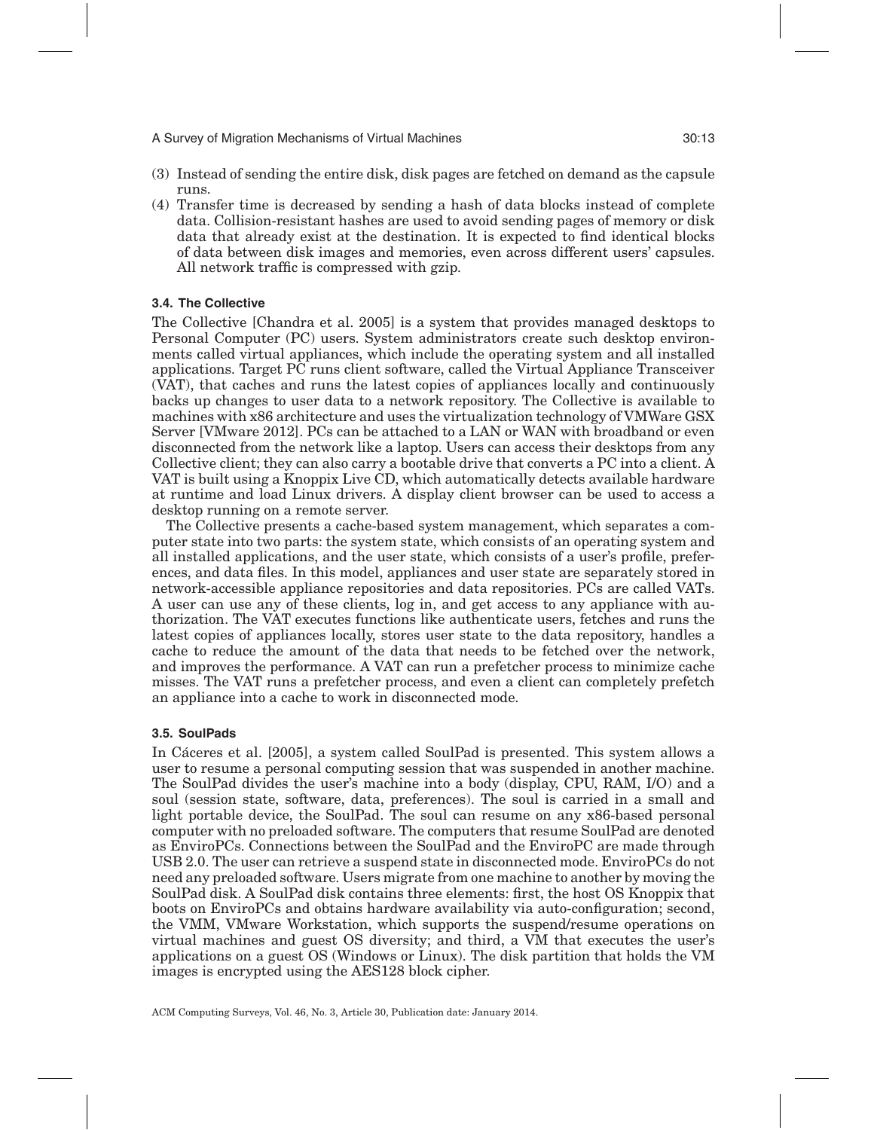- 
- (3) Instead of sending the entire disk, disk pages are fetched on demand as the capsule runs.
- (4) Transfer time is decreased by sending a hash of data blocks instead of complete data. Collision-resistant hashes are used to avoid sending pages of memory or disk data that already exist at the destination. It is expected to find identical blocks of data between disk images and memories, even across different users' capsules. All network traffic is compressed with gzip.

# **3.4. The Collective**

The Collective [Chandra et al. [2005\]](#page-28-3) is a system that provides managed desktops to Personal Computer (PC) users. System administrators create such desktop environments called virtual appliances, which include the operating system and all installed applications. Target PC runs client software, called the Virtual Appliance Transceiver (VAT), that caches and runs the latest copies of appliances locally and continuously backs up changes to user data to a network repository. The Collective is available to machines with x86 architecture and uses the virtualization technology of VMWare GSX Server [VMware [2012\]](#page-31-12). PCs can be attached to a LAN or WAN with broadband or even disconnected from the network like a laptop. Users can access their desktops from any Collective client; they can also carry a bootable drive that converts a PC into a client. A VAT is built using a Knoppix Live CD, which automatically detects available hardware at runtime and load Linux drivers. A display client browser can be used to access a desktop running on a remote server.

The Collective presents a cache-based system management, which separates a computer state into two parts: the system state, which consists of an operating system and all installed applications, and the user state, which consists of a user's profile, preferences, and data files. In this model, appliances and user state are separately stored in network-accessible appliance repositories and data repositories. PCs are called VATs. A user can use any of these clients, log in, and get access to any appliance with authorization. The VAT executes functions like authenticate users, fetches and runs the latest copies of appliances locally, stores user state to the data repository, handles a cache to reduce the amount of the data that needs to be fetched over the network, and improves the performance. A VAT can run a prefetcher process to minimize cache misses. The VAT runs a prefetcher process, and even a client can completely prefetch an appliance into a cache to work in disconnected mode.

# **3.5. SoulPads**

In Cáceres et al. [\[2005\]](#page-28-4), a system called SoulPad is presented. This system allows a user to resume a personal computing session that was suspended in another machine. The SoulPad divides the user's machine into a body (display, CPU, RAM, I/O) and a soul (session state, software, data, preferences). The soul is carried in a small and light portable device, the SoulPad. The soul can resume on any x86-based personal computer with no preloaded software. The computers that resume SoulPad are denoted as EnviroPCs. Connections between the SoulPad and the EnviroPC are made through USB 2.0. The user can retrieve a suspend state in disconnected mode. EnviroPCs do not need any preloaded software. Users migrate from one machine to another by moving the SoulPad disk. A SoulPad disk contains three elements: first, the host OS Knoppix that boots on EnviroPCs and obtains hardware availability via auto-configuration; second, the VMM, VMware Workstation, which supports the suspend/resume operations on virtual machines and guest OS diversity; and third, a VM that executes the user's applications on a guest OS (Windows or Linux). The disk partition that holds the VM images is encrypted using the AES128 block cipher.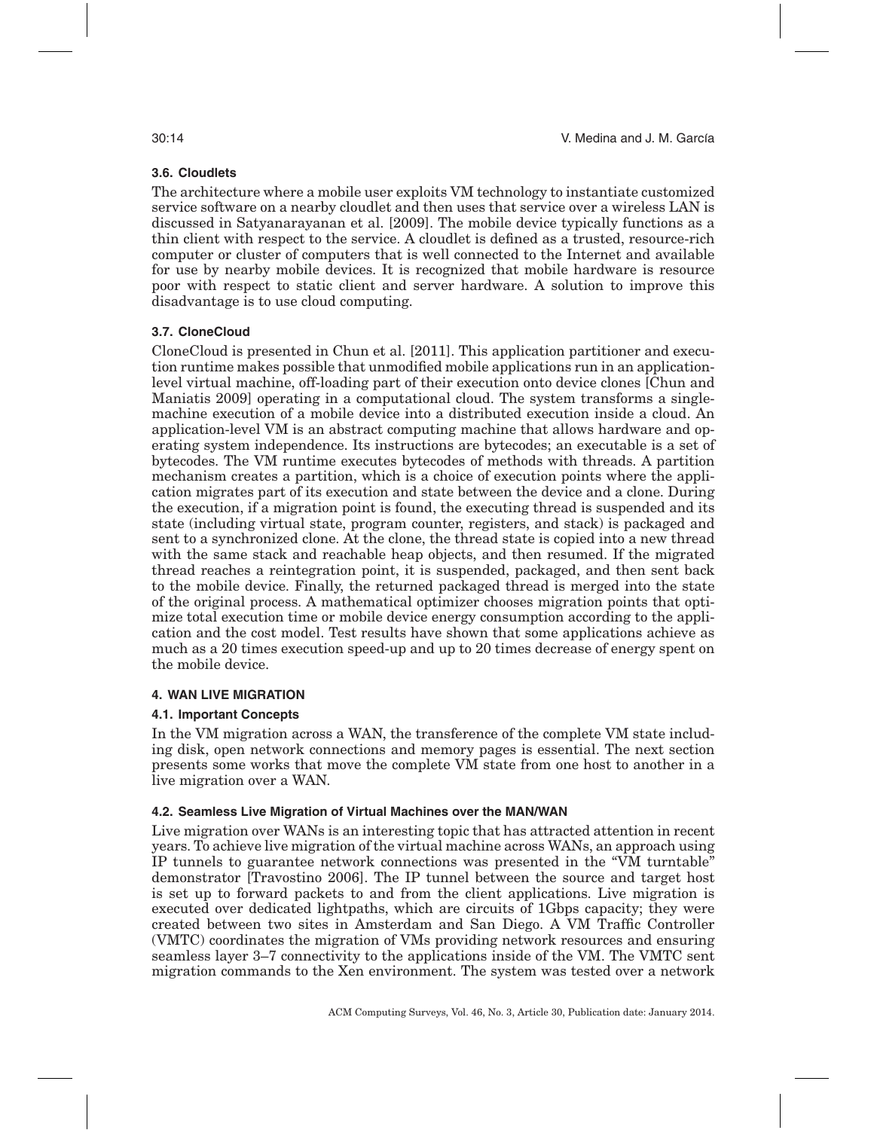# **3.6. Cloudlets**

The architecture where a mobile user exploits VM technology to instantiate customized service software on a nearby cloudlet and then uses that service over a wireless LAN is discussed in Satyanarayanan et al. [\[2009\]](#page-31-13). The mobile device typically functions as a thin client with respect to the service. A cloudlet is defined as a trusted, resource-rich computer or cluster of computers that is well connected to the Internet and available for use by nearby mobile devices. It is recognized that mobile hardware is resource poor with respect to static client and server hardware. A solution to improve this disadvantage is to use cloud computing.

# **3.7. CloneCloud**

CloneCloud is presented in Chun et al. [\[2011\]](#page-29-9). This application partitioner and execution runtime makes possible that unmodified mobile applications run in an applicationlevel virtual machine, off-loading part of their execution onto device clones [Chun and Maniatis [2009\]](#page-29-10) operating in a computational cloud. The system transforms a singlemachine execution of a mobile device into a distributed execution inside a cloud. An application-level VM is an abstract computing machine that allows hardware and operating system independence. Its instructions are bytecodes; an executable is a set of bytecodes. The VM runtime executes bytecodes of methods with threads. A partition mechanism creates a partition, which is a choice of execution points where the application migrates part of its execution and state between the device and a clone. During the execution, if a migration point is found, the executing thread is suspended and its state (including virtual state, program counter, registers, and stack) is packaged and sent to a synchronized clone. At the clone, the thread state is copied into a new thread with the same stack and reachable heap objects, and then resumed. If the migrated thread reaches a reintegration point, it is suspended, packaged, and then sent back to the mobile device. Finally, the returned packaged thread is merged into the state of the original process. A mathematical optimizer chooses migration points that optimize total execution time or mobile device energy consumption according to the application and the cost model. Test results have shown that some applications achieve as much as a 20 times execution speed-up and up to 20 times decrease of energy spent on the mobile device.

# **4. WAN LIVE MIGRATION**

# <span id="page-13-0"></span>**4.1. Important Concepts**

In the VM migration across a WAN, the transference of the complete VM state including disk, open network connections and memory pages is essential. The next section presents some works that move the complete VM state from one host to another in a live migration over a WAN.

# **4.2. Seamless Live Migration of Virtual Machines over the MAN/WAN**

Live migration over WANs is an interesting topic that has attracted attention in recent years. To achieve live migration of the virtual machine across WANs, an approach using IP tunnels to guarantee network connections was presented in the "VM turntable" demonstrator [Travostino [2006\]](#page-31-6). The IP tunnel between the source and target host is set up to forward packets to and from the client applications. Live migration is executed over dedicated lightpaths, which are circuits of 1Gbps capacity; they were created between two sites in Amsterdam and San Diego. A VM Traffic Controller (VMTC) coordinates the migration of VMs providing network resources and ensuring seamless layer 3–7 connectivity to the applications inside of the VM. The VMTC sent migration commands to the Xen environment. The system was tested over a network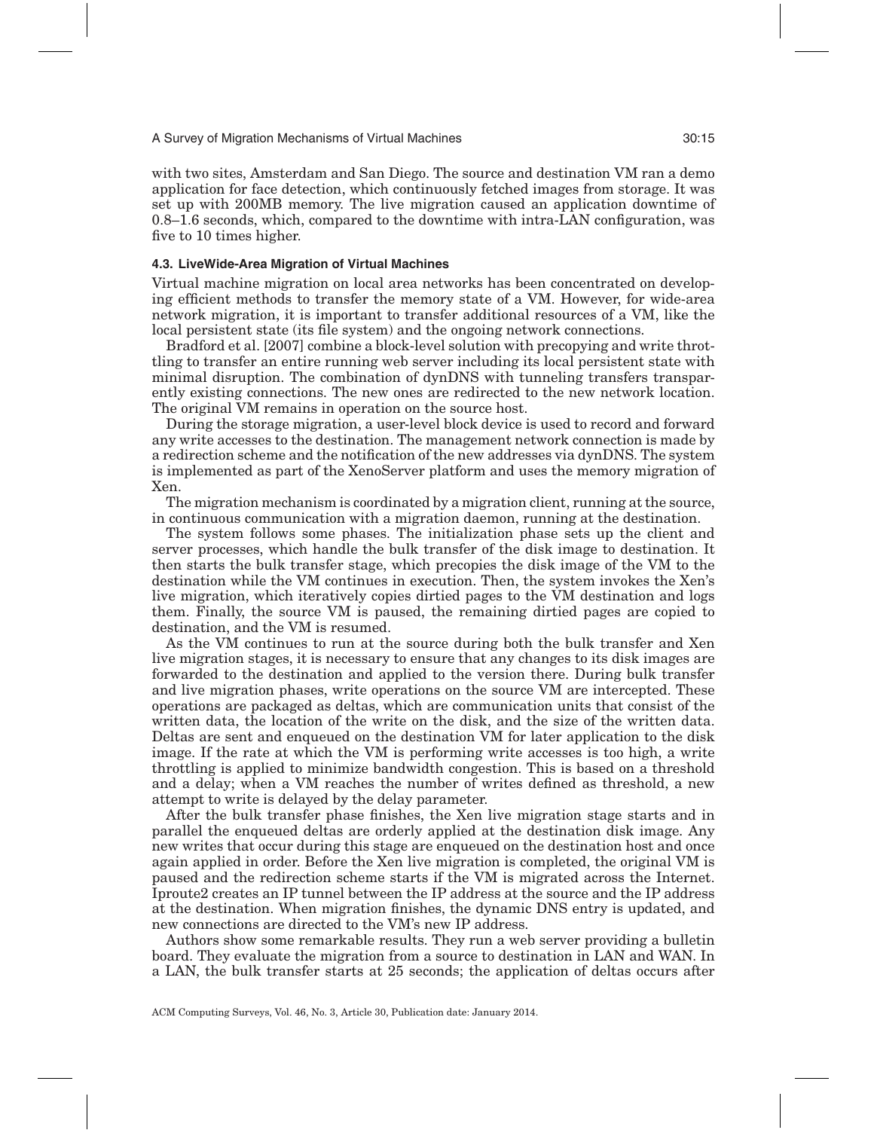with two sites, Amsterdam and San Diego. The source and destination VM ran a demo application for face detection, which continuously fetched images from storage. It was set up with 200MB memory. The live migration caused an application downtime of 0.8–1.6 seconds, which, compared to the downtime with intra-LAN configuration, was five to 10 times higher.

## **4.3. LiveWide-Area Migration of Virtual Machines**

Virtual machine migration on local area networks has been concentrated on developing efficient methods to transfer the memory state of a VM. However, for wide-area network migration, it is important to transfer additional resources of a VM, like the local persistent state (its file system) and the ongoing network connections.

Bradford et al. [\[2007\]](#page-28-7) combine a block-level solution with precopying and write throttling to transfer an entire running web server including its local persistent state with minimal disruption. The combination of dynDNS with tunneling transfers transparently existing connections. The new ones are redirected to the new network location. The original VM remains in operation on the source host.

During the storage migration, a user-level block device is used to record and forward any write accesses to the destination. The management network connection is made by a redirection scheme and the notification of the new addresses via dynDNS. The system is implemented as part of the XenoServer platform and uses the memory migration of Xen.

The migration mechanism is coordinated by a migration client, running at the source, in continuous communication with a migration daemon, running at the destination.

The system follows some phases. The initialization phase sets up the client and server processes, which handle the bulk transfer of the disk image to destination. It then starts the bulk transfer stage, which precopies the disk image of the VM to the destination while the VM continues in execution. Then, the system invokes the Xen's live migration, which iteratively copies dirtied pages to the VM destination and logs them. Finally, the source VM is paused, the remaining dirtied pages are copied to destination, and the VM is resumed.

As the VM continues to run at the source during both the bulk transfer and Xen live migration stages, it is necessary to ensure that any changes to its disk images are forwarded to the destination and applied to the version there. During bulk transfer and live migration phases, write operations on the source VM are intercepted. These operations are packaged as deltas, which are communication units that consist of the written data, the location of the write on the disk, and the size of the written data. Deltas are sent and enqueued on the destination VM for later application to the disk image. If the rate at which the VM is performing write accesses is too high, a write throttling is applied to minimize bandwidth congestion. This is based on a threshold and a delay; when a VM reaches the number of writes defined as threshold, a new attempt to write is delayed by the delay parameter.

After the bulk transfer phase finishes, the Xen live migration stage starts and in parallel the enqueued deltas are orderly applied at the destination disk image. Any new writes that occur during this stage are enqueued on the destination host and once again applied in order. Before the Xen live migration is completed, the original VM is paused and the redirection scheme starts if the VM is migrated across the Internet. Iproute2 creates an IP tunnel between the IP address at the source and the IP address at the destination. When migration finishes, the dynamic DNS entry is updated, and new connections are directed to the VM's new IP address.

Authors show some remarkable results. They run a web server providing a bulletin board. They evaluate the migration from a source to destination in LAN and WAN. In a LAN, the bulk transfer starts at 25 seconds; the application of deltas occurs after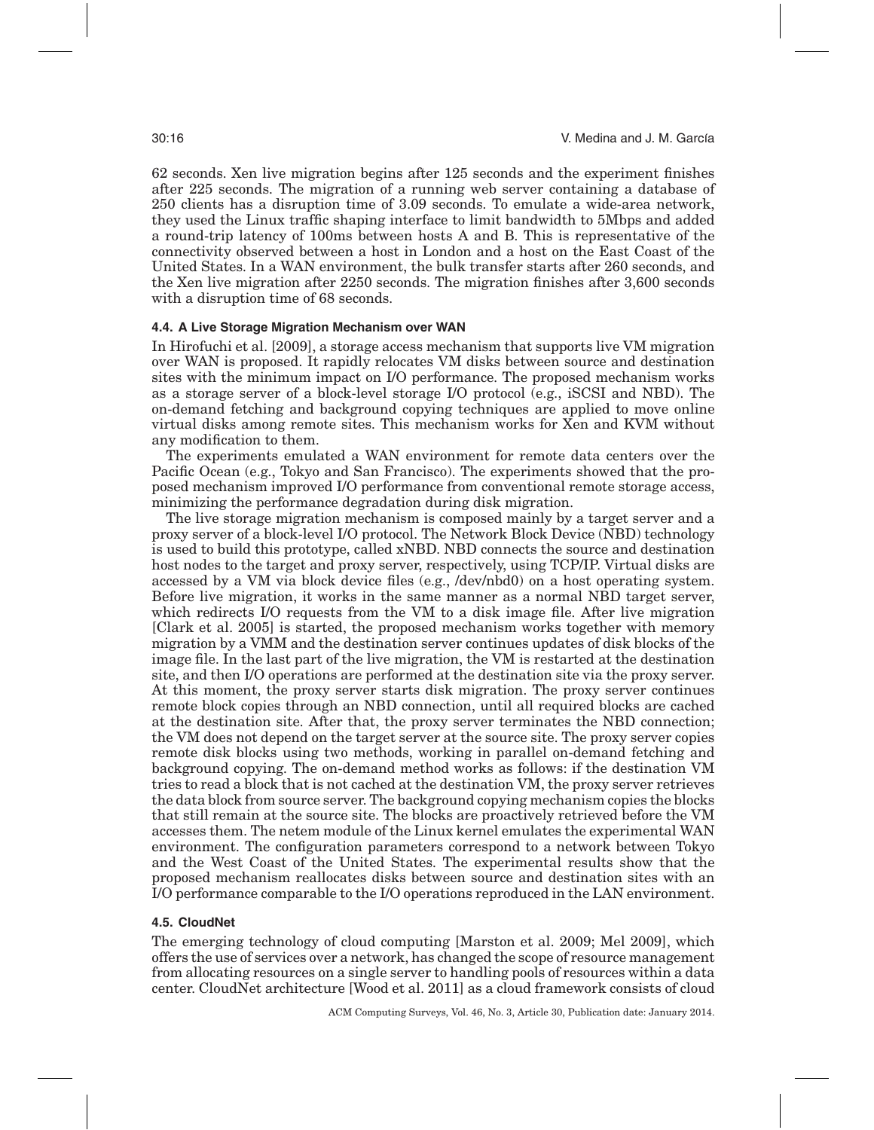62 seconds. Xen live migration begins after 125 seconds and the experiment finishes after 225 seconds. The migration of a running web server containing a database of 250 clients has a disruption time of 3.09 seconds. To emulate a wide-area network, they used the Linux traffic shaping interface to limit bandwidth to 5Mbps and added a round-trip latency of 100ms between hosts A and B. This is representative of the connectivity observed between a host in London and a host on the East Coast of the United States. In a WAN environment, the bulk transfer starts after 260 seconds, and the Xen live migration after 2250 seconds. The migration finishes after 3,600 seconds with a disruption time of 68 seconds.

# **4.4. A Live Storage Migration Mechanism over WAN**

In Hirofuchi et al. [\[2009\]](#page-29-11), a storage access mechanism that supports live VM migration over WAN is proposed. It rapidly relocates VM disks between source and destination sites with the minimum impact on I/O performance. The proposed mechanism works as a storage server of a block-level storage I/O protocol (e.g., iSCSI and NBD). The on-demand fetching and background copying techniques are applied to move online virtual disks among remote sites. This mechanism works for Xen and KVM without any modification to them.

The experiments emulated a WAN environment for remote data centers over the Pacific Ocean (e.g., Tokyo and San Francisco). The experiments showed that the proposed mechanism improved I/O performance from conventional remote storage access, minimizing the performance degradation during disk migration.

The live storage migration mechanism is composed mainly by a target server and a proxy server of a block-level I/O protocol. The Network Block Device (NBD) technology is used to build this prototype, called xNBD. NBD connects the source and destination host nodes to the target and proxy server, respectively, using TCP/IP. Virtual disks are accessed by a VM via block device files (e.g., /dev/nbd0) on a host operating system. Before live migration, it works in the same manner as a normal NBD target server, which redirects I/O requests from the VM to a disk image file. After live migration [Clark et al. [2005\]](#page-29-3) is started, the proposed mechanism works together with memory migration by a VMM and the destination server continues updates of disk blocks of the image file. In the last part of the live migration, the VM is restarted at the destination site, and then I/O operations are performed at the destination site via the proxy server. At this moment, the proxy server starts disk migration. The proxy server continues remote block copies through an NBD connection, until all required blocks are cached at the destination site. After that, the proxy server terminates the NBD connection; the VM does not depend on the target server at the source site. The proxy server copies remote disk blocks using two methods, working in parallel on-demand fetching and background copying. The on-demand method works as follows: if the destination VM tries to read a block that is not cached at the destination VM, the proxy server retrieves the data block from source server. The background copying mechanism copies the blocks that still remain at the source site. The blocks are proactively retrieved before the VM accesses them. The netem module of the Linux kernel emulates the experimental WAN environment. The configuration parameters correspond to a network between Tokyo and the West Coast of the United States. The experimental results show that the proposed mechanism reallocates disks between source and destination sites with an I/O performance comparable to the I/O operations reproduced in the LAN environment.

# **4.5. CloudNet**

The emerging technology of cloud computing [Marston et al. [2009;](#page-30-16) Mel [2009\]](#page-28-8), which offers the use of services over a network, has changed the scope of resource management from allocating resources on a single server to handling pools of resources within a data center. CloudNet architecture [Wood et al. [2011\]](#page-32-0) as a cloud framework consists of cloud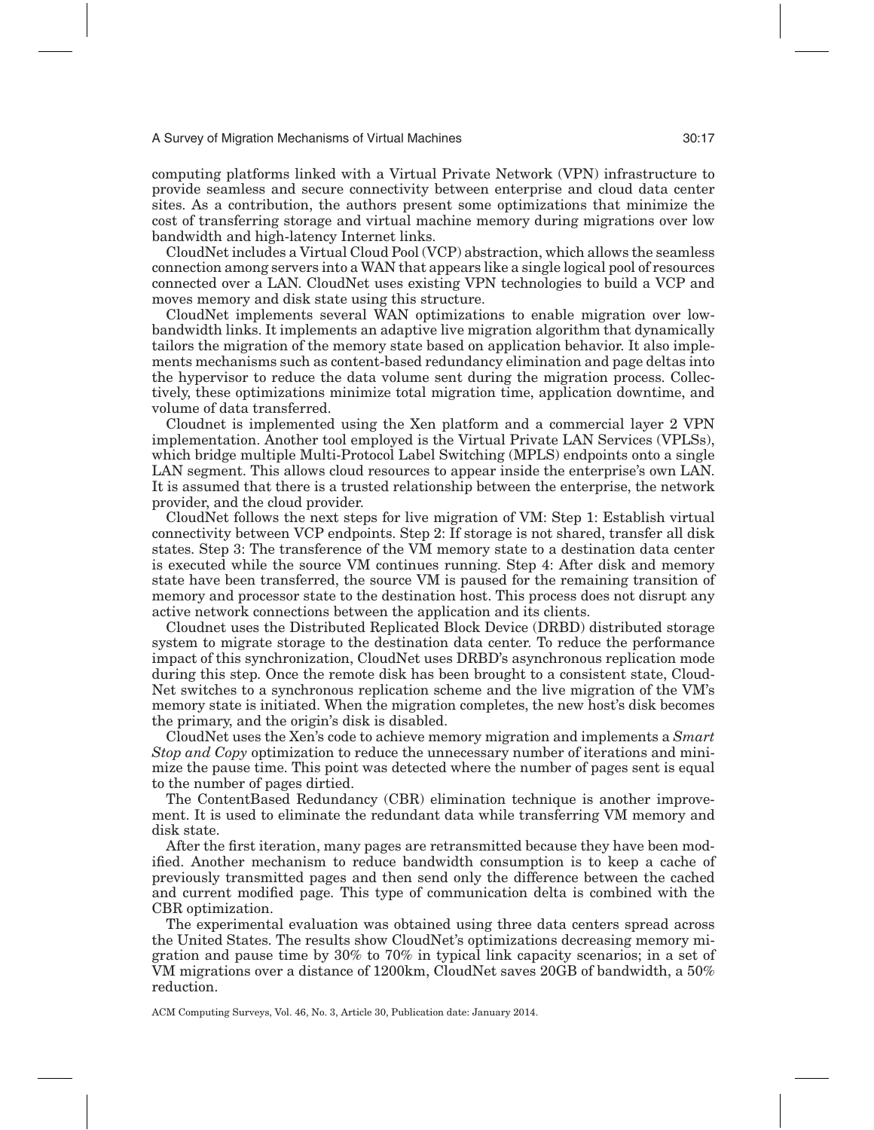computing platforms linked with a Virtual Private Network (VPN) infrastructure to provide seamless and secure connectivity between enterprise and cloud data center sites. As a contribution, the authors present some optimizations that minimize the cost of transferring storage and virtual machine memory during migrations over low bandwidth and high-latency Internet links.

CloudNet includes a Virtual Cloud Pool (VCP) abstraction, which allows the seamless connection among servers into a WAN that appears like a single logical pool of resources connected over a LAN. CloudNet uses existing VPN technologies to build a VCP and moves memory and disk state using this structure.

CloudNet implements several WAN optimizations to enable migration over lowbandwidth links. It implements an adaptive live migration algorithm that dynamically tailors the migration of the memory state based on application behavior. It also implements mechanisms such as content-based redundancy elimination and page deltas into the hypervisor to reduce the data volume sent during the migration process. Collectively, these optimizations minimize total migration time, application downtime, and volume of data transferred.

Cloudnet is implemented using the Xen platform and a commercial layer 2 VPN implementation. Another tool employed is the Virtual Private LAN Services (VPLSs), which bridge multiple Multi-Protocol Label Switching (MPLS) endpoints onto a single LAN segment. This allows cloud resources to appear inside the enterprise's own LAN. It is assumed that there is a trusted relationship between the enterprise, the network provider, and the cloud provider.

CloudNet follows the next steps for live migration of VM: Step 1: Establish virtual connectivity between VCP endpoints. Step 2: If storage is not shared, transfer all disk states. Step 3: The transference of the VM memory state to a destination data center is executed while the source VM continues running. Step 4: After disk and memory state have been transferred, the source VM is paused for the remaining transition of memory and processor state to the destination host. This process does not disrupt any active network connections between the application and its clients.

Cloudnet uses the Distributed Replicated Block Device (DRBD) distributed storage system to migrate storage to the destination data center. To reduce the performance impact of this synchronization, CloudNet uses DRBD's asynchronous replication mode during this step. Once the remote disk has been brought to a consistent state, Cloud-Net switches to a synchronous replication scheme and the live migration of the VM's memory state is initiated. When the migration completes, the new host's disk becomes the primary, and the origin's disk is disabled.

CloudNet uses the Xen's code to achieve memory migration and implements a *Smart Stop and Copy* optimization to reduce the unnecessary number of iterations and minimize the pause time. This point was detected where the number of pages sent is equal to the number of pages dirtied.

The ContentBased Redundancy (CBR) elimination technique is another improvement. It is used to eliminate the redundant data while transferring VM memory and disk state.

After the first iteration, many pages are retransmitted because they have been modified. Another mechanism to reduce bandwidth consumption is to keep a cache of previously transmitted pages and then send only the difference between the cached and current modified page. This type of communication delta is combined with the CBR optimization.

The experimental evaluation was obtained using three data centers spread across the United States. The results show CloudNet's optimizations decreasing memory migration and pause time by 30% to 70% in typical link capacity scenarios; in a set of VM migrations over a distance of 1200km, CloudNet saves 20GB of bandwidth, a  $50\%$ reduction.

ACM Computing Surveys, Vol. 46, No. 3, Article 30, Publication date: January 2014.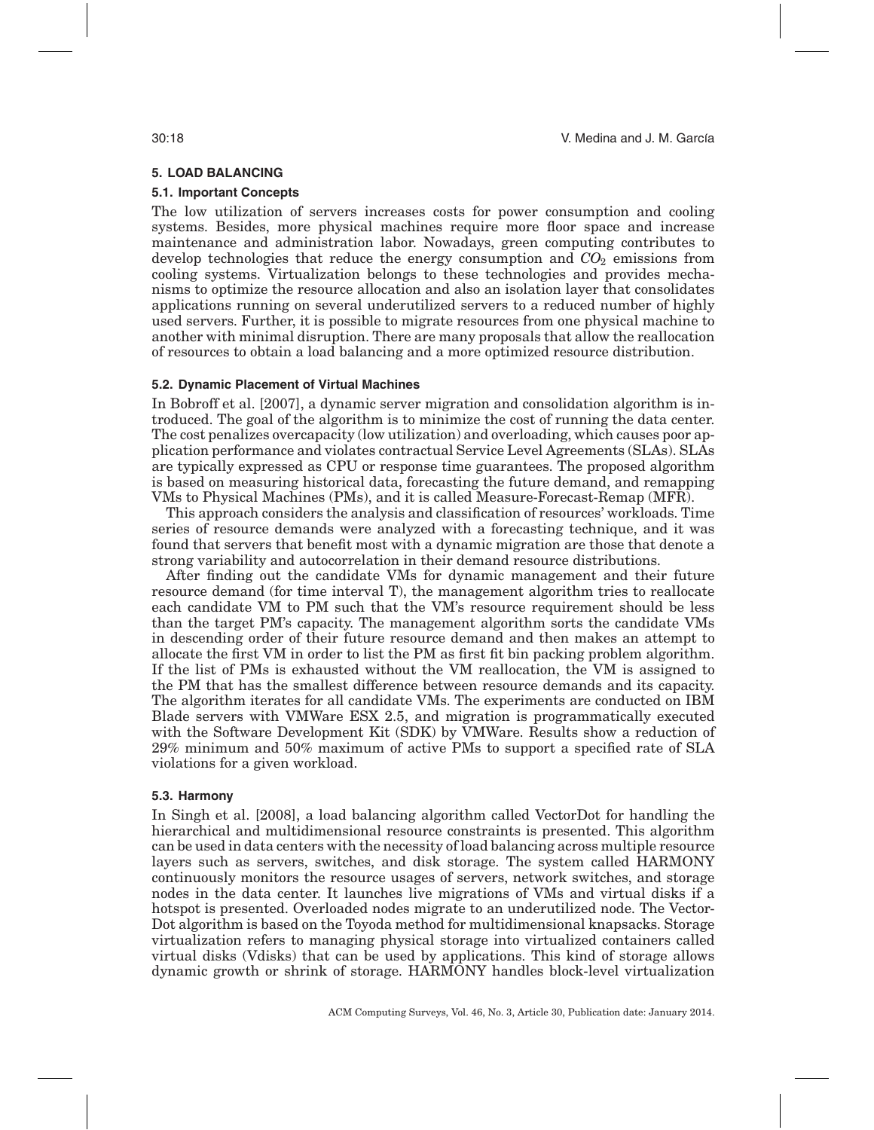# **5. LOAD BALANCING**

# <span id="page-17-0"></span>**5.1. Important Concepts**

The low utilization of servers increases costs for power consumption and cooling systems. Besides, more physical machines require more floor space and increase maintenance and administration labor. Nowadays, green computing contributes to develop technologies that reduce the energy consumption and *CO*<sup>2</sup> emissions from cooling systems. Virtualization belongs to these technologies and provides mechanisms to optimize the resource allocation and also an isolation layer that consolidates applications running on several underutilized servers to a reduced number of highly used servers. Further, it is possible to migrate resources from one physical machine to another with minimal disruption. There are many proposals that allow the reallocation of resources to obtain a load balancing and a more optimized resource distribution.

# **5.2. Dynamic Placement of Virtual Machines**

In Bobroff et al. [\[2007\]](#page-28-9), a dynamic server migration and consolidation algorithm is introduced. The goal of the algorithm is to minimize the cost of running the data center. The cost penalizes overcapacity (low utilization) and overloading, which causes poor application performance and violates contractual Service Level Agreements (SLAs). SLAs are typically expressed as CPU or response time guarantees. The proposed algorithm is based on measuring historical data, forecasting the future demand, and remapping VMs to Physical Machines (PMs), and it is called Measure-Forecast-Remap (MFR).

This approach considers the analysis and classification of resources' workloads. Time series of resource demands were analyzed with a forecasting technique, and it was found that servers that benefit most with a dynamic migration are those that denote a strong variability and autocorrelation in their demand resource distributions.

After finding out the candidate VMs for dynamic management and their future resource demand (for time interval T), the management algorithm tries to reallocate each candidate VM to PM such that the VM's resource requirement should be less than the target PM's capacity. The management algorithm sorts the candidate VMs in descending order of their future resource demand and then makes an attempt to allocate the first VM in order to list the PM as first fit bin packing problem algorithm. If the list of PMs is exhausted without the VM reallocation, the VM is assigned to the PM that has the smallest difference between resource demands and its capacity. The algorithm iterates for all candidate VMs. The experiments are conducted on IBM Blade servers with VMWare ESX 2.5, and migration is programmatically executed with the Software Development Kit (SDK) by VMWare. Results show a reduction of 29% minimum and 50% maximum of active PMs to support a specified rate of SLA violations for a given workload.

# **5.3. Harmony**

In Singh et al. [\[2008\]](#page-31-14), a load balancing algorithm called VectorDot for handling the hierarchical and multidimensional resource constraints is presented. This algorithm can be used in data centers with the necessity of load balancing across multiple resource layers such as servers, switches, and disk storage. The system called HARMONY continuously monitors the resource usages of servers, network switches, and storage nodes in the data center. It launches live migrations of VMs and virtual disks if a hotspot is presented. Overloaded nodes migrate to an underutilized node. The Vector-Dot algorithm is based on the Toyoda method for multidimensional knapsacks. Storage virtualization refers to managing physical storage into virtualized containers called virtual disks (Vdisks) that can be used by applications. This kind of storage allows dynamic growth or shrink of storage. HARMONY handles block-level virtualization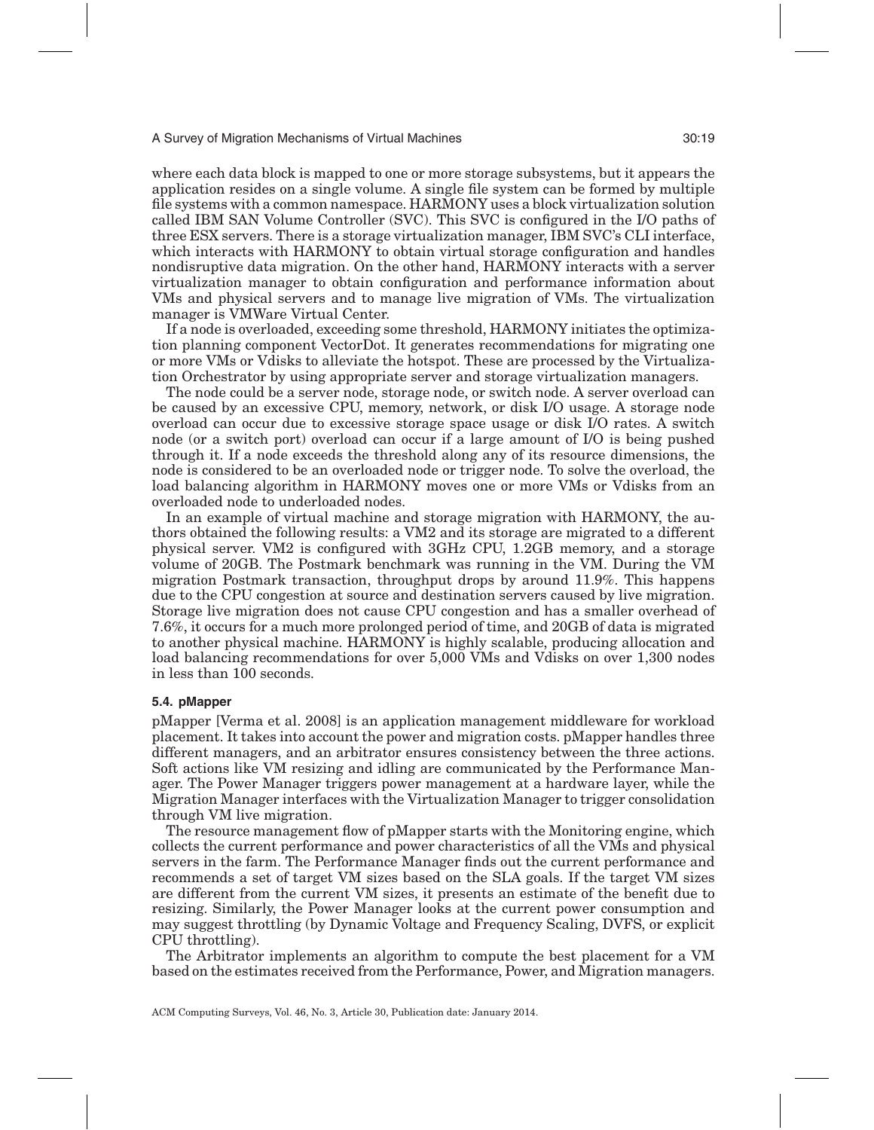where each data block is mapped to one or more storage subsystems, but it appears the application resides on a single volume. A single file system can be formed by multiple file systems with a common namespace. HARMONY uses a block virtualization solution called IBM SAN Volume Controller (SVC). This SVC is configured in the I/O paths of three ESX servers. There is a storage virtualization manager, IBM SVC's CLI interface, which interacts with HARMONY to obtain virtual storage configuration and handles nondisruptive data migration. On the other hand, HARMONY interacts with a server virtualization manager to obtain configuration and performance information about VMs and physical servers and to manage live migration of VMs. The virtualization manager is VMWare Virtual Center.

If a node is overloaded, exceeding some threshold, HARMONY initiates the optimization planning component VectorDot. It generates recommendations for migrating one or more VMs or Vdisks to alleviate the hotspot. These are processed by the Virtualization Orchestrator by using appropriate server and storage virtualization managers.

The node could be a server node, storage node, or switch node. A server overload can be caused by an excessive CPU, memory, network, or disk I/O usage. A storage node overload can occur due to excessive storage space usage or disk I/O rates. A switch node (or a switch port) overload can occur if a large amount of I/O is being pushed through it. If a node exceeds the threshold along any of its resource dimensions, the node is considered to be an overloaded node or trigger node. To solve the overload, the load balancing algorithm in HARMONY moves one or more VMs or Vdisks from an overloaded node to underloaded nodes.

In an example of virtual machine and storage migration with HARMONY, the authors obtained the following results: a VM2 and its storage are migrated to a different physical server. VM2 is configured with 3GHz CPU, 1.2GB memory, and a storage volume of 20GB. The Postmark benchmark was running in the VM. During the VM migration Postmark transaction, throughput drops by around 11.9%. This happens due to the CPU congestion at source and destination servers caused by live migration. Storage live migration does not cause CPU congestion and has a smaller overhead of 7.6%, it occurs for a much more prolonged period of time, and 20GB of data is migrated to another physical machine. HARMONY is highly scalable, producing allocation and load balancing recommendations for over 5,000 VMs and Vdisks on over 1,300 nodes in less than 100 seconds.

## **5.4. pMapper**

pMapper [Verma et al. [2008\]](#page-31-15) is an application management middleware for workload placement. It takes into account the power and migration costs. pMapper handles three different managers, and an arbitrator ensures consistency between the three actions. Soft actions like VM resizing and idling are communicated by the Performance Manager. The Power Manager triggers power management at a hardware layer, while the Migration Manager interfaces with the Virtualization Manager to trigger consolidation through VM live migration.

The resource management flow of pMapper starts with the Monitoring engine, which collects the current performance and power characteristics of all the VMs and physical servers in the farm. The Performance Manager finds out the current performance and recommends a set of target VM sizes based on the SLA goals. If the target VM sizes are different from the current VM sizes, it presents an estimate of the benefit due to resizing. Similarly, the Power Manager looks at the current power consumption and may suggest throttling (by Dynamic Voltage and Frequency Scaling, DVFS, or explicit CPU throttling).

The Arbitrator implements an algorithm to compute the best placement for a VM based on the estimates received from the Performance, Power, and Migration managers.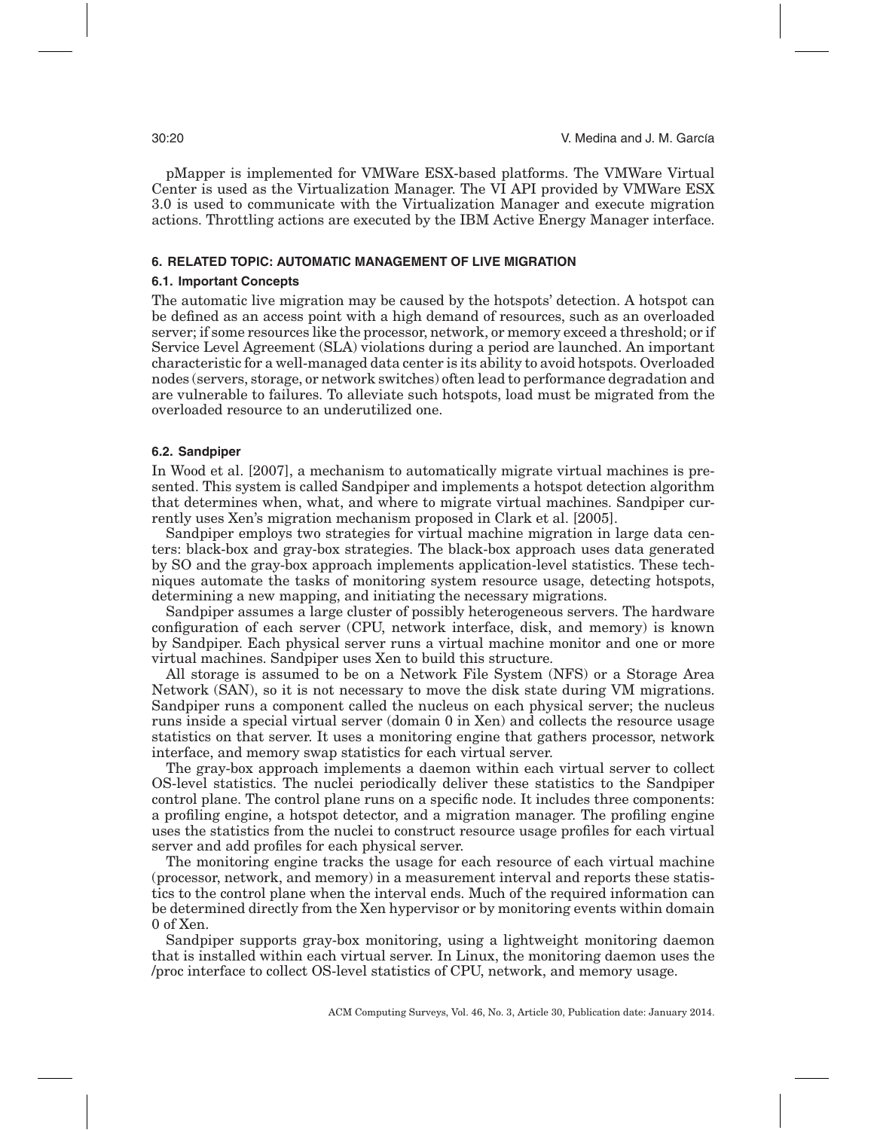pMapper is implemented for VMWare ESX-based platforms. The VMWare Virtual Center is used as the Virtualization Manager. The VI API provided by VMWare ESX 3.0 is used to communicate with the Virtualization Manager and execute migration actions. Throttling actions are executed by the IBM Active Energy Manager interface.

## **6. RELATED TOPIC: AUTOMATIC MANAGEMENT OF LIVE MIGRATION**

#### <span id="page-19-0"></span>**6.1. Important Concepts**

The automatic live migration may be caused by the hotspots' detection. A hotspot can be defined as an access point with a high demand of resources, such as an overloaded server; if some resources like the processor, network, or memory exceed a threshold; or if Service Level Agreement (SLA) violations during a period are launched. An important characteristic for a well-managed data center is its ability to avoid hotspots. Overloaded nodes (servers, storage, or network switches) often lead to performance degradation and are vulnerable to failures. To alleviate such hotspots, load must be migrated from the overloaded resource to an underutilized one.

#### **6.2. Sandpiper**

In Wood et al. [\[2007\]](#page-32-1), a mechanism to automatically migrate virtual machines is presented. This system is called Sandpiper and implements a hotspot detection algorithm that determines when, what, and where to migrate virtual machines. Sandpiper currently uses Xen's migration mechanism proposed in Clark et al. [\[2005\]](#page-29-3).

Sandpiper employs two strategies for virtual machine migration in large data centers: black-box and gray-box strategies. The black-box approach uses data generated by SO and the gray-box approach implements application-level statistics. These techniques automate the tasks of monitoring system resource usage, detecting hotspots, determining a new mapping, and initiating the necessary migrations.

Sandpiper assumes a large cluster of possibly heterogeneous servers. The hardware configuration of each server (CPU, network interface, disk, and memory) is known by Sandpiper. Each physical server runs a virtual machine monitor and one or more virtual machines. Sandpiper uses Xen to build this structure.

All storage is assumed to be on a Network File System (NFS) or a Storage Area Network (SAN), so it is not necessary to move the disk state during VM migrations. Sandpiper runs a component called the nucleus on each physical server; the nucleus runs inside a special virtual server (domain 0 in Xen) and collects the resource usage statistics on that server. It uses a monitoring engine that gathers processor, network interface, and memory swap statistics for each virtual server.

The gray-box approach implements a daemon within each virtual server to collect OS-level statistics. The nuclei periodically deliver these statistics to the Sandpiper control plane. The control plane runs on a specific node. It includes three components: a profiling engine, a hotspot detector, and a migration manager. The profiling engine uses the statistics from the nuclei to construct resource usage profiles for each virtual server and add profiles for each physical server.

The monitoring engine tracks the usage for each resource of each virtual machine (processor, network, and memory) in a measurement interval and reports these statistics to the control plane when the interval ends. Much of the required information can be determined directly from the Xen hypervisor or by monitoring events within domain 0 of Xen.

Sandpiper supports gray-box monitoring, using a lightweight monitoring daemon that is installed within each virtual server. In Linux, the monitoring daemon uses the /proc interface to collect OS-level statistics of CPU, network, and memory usage.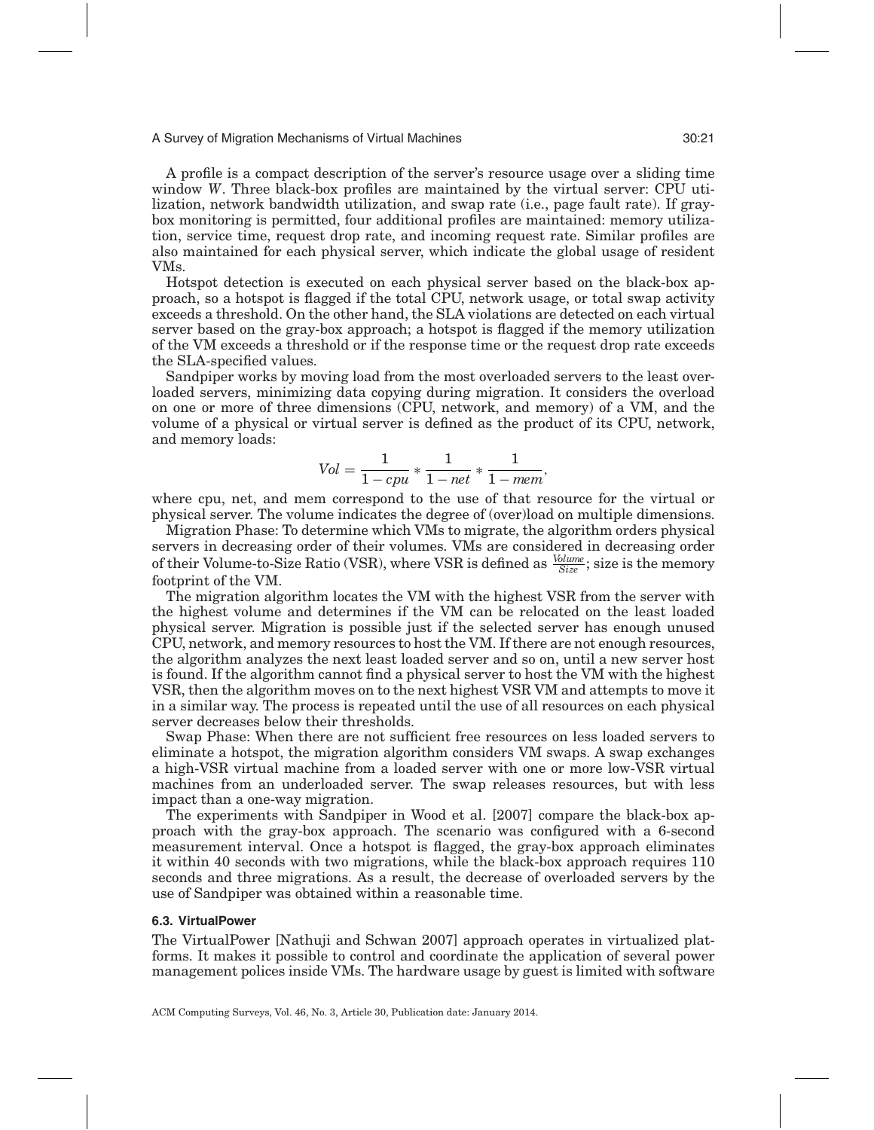A profile is a compact description of the server's resource usage over a sliding time window *W*. Three black-box profiles are maintained by the virtual server: CPU utilization, network bandwidth utilization, and swap rate (i.e., page fault rate). If graybox monitoring is permitted, four additional profiles are maintained: memory utilization, service time, request drop rate, and incoming request rate. Similar profiles are also maintained for each physical server, which indicate the global usage of resident VMs.

Hotspot detection is executed on each physical server based on the black-box approach, so a hotspot is flagged if the total CPU, network usage, or total swap activity exceeds a threshold. On the other hand, the SLA violations are detected on each virtual server based on the gray-box approach; a hotspot is flagged if the memory utilization of the VM exceeds a threshold or if the response time or the request drop rate exceeds the SLA-specified values.

Sandpiper works by moving load from the most overloaded servers to the least overloaded servers, minimizing data copying during migration. It considers the overload on one or more of three dimensions (CPU, network, and memory) of a VM, and the volume of a physical or virtual server is defined as the product of its CPU, network, and memory loads:

$$
Vol = \frac{1}{1-cpu} * \frac{1}{1-net} * \frac{1}{1-mem},
$$

where cpu, net, and mem correspond to the use of that resource for the virtual or physical server. The volume indicates the degree of (over)load on multiple dimensions.

Migration Phase: To determine which VMs to migrate, the algorithm orders physical servers in decreasing order of their volumes. VMs are considered in decreasing order of their Volume-to-Size Ratio (VSR), where VSR is defined as  $\frac{Volume}{Size}$ ; size is the memory footprint of the VM.

The migration algorithm locates the VM with the highest VSR from the server with the highest volume and determines if the VM can be relocated on the least loaded physical server. Migration is possible just if the selected server has enough unused CPU, network, and memory resources to host the VM. If there are not enough resources, the algorithm analyzes the next least loaded server and so on, until a new server host is found. If the algorithm cannot find a physical server to host the VM with the highest VSR, then the algorithm moves on to the next highest VSR VM and attempts to move it in a similar way. The process is repeated until the use of all resources on each physical server decreases below their thresholds.

Swap Phase: When there are not sufficient free resources on less loaded servers to eliminate a hotspot, the migration algorithm considers VM swaps. A swap exchanges a high-VSR virtual machine from a loaded server with one or more low-VSR virtual machines from an underloaded server. The swap releases resources, but with less impact than a one-way migration.

The experiments with Sandpiper in Wood et al. [\[2007\]](#page-32-1) compare the black-box approach with the gray-box approach. The scenario was configured with a 6-second measurement interval. Once a hotspot is flagged, the gray-box approach eliminates it within 40 seconds with two migrations, while the black-box approach requires 110 seconds and three migrations. As a result, the decrease of overloaded servers by the use of Sandpiper was obtained within a reasonable time.

#### **6.3. VirtualPower**

The VirtualPower [Nathuji and Schwan [2007\]](#page-30-17) approach operates in virtualized platforms. It makes it possible to control and coordinate the application of several power management polices inside VMs. The hardware usage by guest is limited with software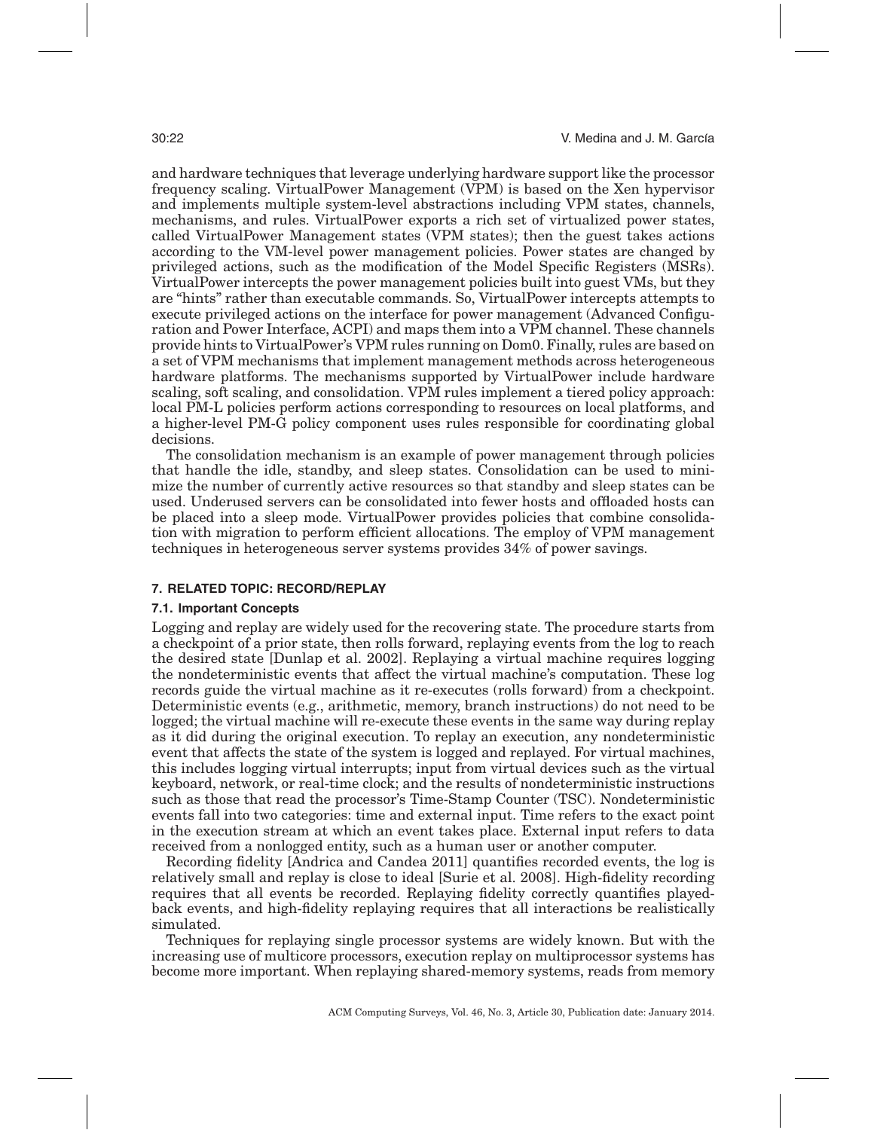and hardware techniques that leverage underlying hardware support like the processor frequency scaling. VirtualPower Management (VPM) is based on the Xen hypervisor and implements multiple system-level abstractions including VPM states, channels, mechanisms, and rules. VirtualPower exports a rich set of virtualized power states, called VirtualPower Management states (VPM states); then the guest takes actions according to the VM-level power management policies. Power states are changed by privileged actions, such as the modification of the Model Specific Registers (MSRs). VirtualPower intercepts the power management policies built into guest VMs, but they are "hints" rather than executable commands. So, VirtualPower intercepts attempts to execute privileged actions on the interface for power management (Advanced Configuration and Power Interface, ACPI) and maps them into a VPM channel. These channels provide hints to VirtualPower's VPM rules running on Dom0. Finally, rules are based on a set of VPM mechanisms that implement management methods across heterogeneous hardware platforms. The mechanisms supported by VirtualPower include hardware scaling, soft scaling, and consolidation. VPM rules implement a tiered policy approach: local PM-L policies perform actions corresponding to resources on local platforms, and a higher-level PM-G policy component uses rules responsible for coordinating global decisions.

The consolidation mechanism is an example of power management through policies that handle the idle, standby, and sleep states. Consolidation can be used to minimize the number of currently active resources so that standby and sleep states can be used. Underused servers can be consolidated into fewer hosts and offloaded hosts can be placed into a sleep mode. VirtualPower provides policies that combine consolidation with migration to perform efficient allocations. The employ of VPM management techniques in heterogeneous server systems provides 34% of power savings.

## **7. RELATED TOPIC: RECORD/REPLAY**

#### <span id="page-21-0"></span>**7.1. Important Concepts**

Logging and replay are widely used for the recovering state. The procedure starts from a checkpoint of a prior state, then rolls forward, replaying events from the log to reach the desired state [Dunlap et al. [2002\]](#page-29-12). Replaying a virtual machine requires logging the nondeterministic events that affect the virtual machine's computation. These log records guide the virtual machine as it re-executes (rolls forward) from a checkpoint. Deterministic events (e.g., arithmetic, memory, branch instructions) do not need to be logged; the virtual machine will re-execute these events in the same way during replay as it did during the original execution. To replay an execution, any nondeterministic event that affects the state of the system is logged and replayed. For virtual machines, this includes logging virtual interrupts; input from virtual devices such as the virtual keyboard, network, or real-time clock; and the results of nondeterministic instructions such as those that read the processor's Time-Stamp Counter (TSC). Nondeterministic events fall into two categories: time and external input. Time refers to the exact point in the execution stream at which an event takes place. External input refers to data received from a nonlogged entity, such as a human user or another computer.

Recording fidelity [Andrica and Candea [2011\]](#page-28-10) quantifies recorded events, the log is relatively small and replay is close to ideal [Surie et al. [2008\]](#page-31-16). High-fidelity recording requires that all events be recorded. Replaying fidelity correctly quantifies playedback events, and high-fidelity replaying requires that all interactions be realistically simulated.

Techniques for replaying single processor systems are widely known. But with the increasing use of multicore processors, execution replay on multiprocessor systems has become more important. When replaying shared-memory systems, reads from memory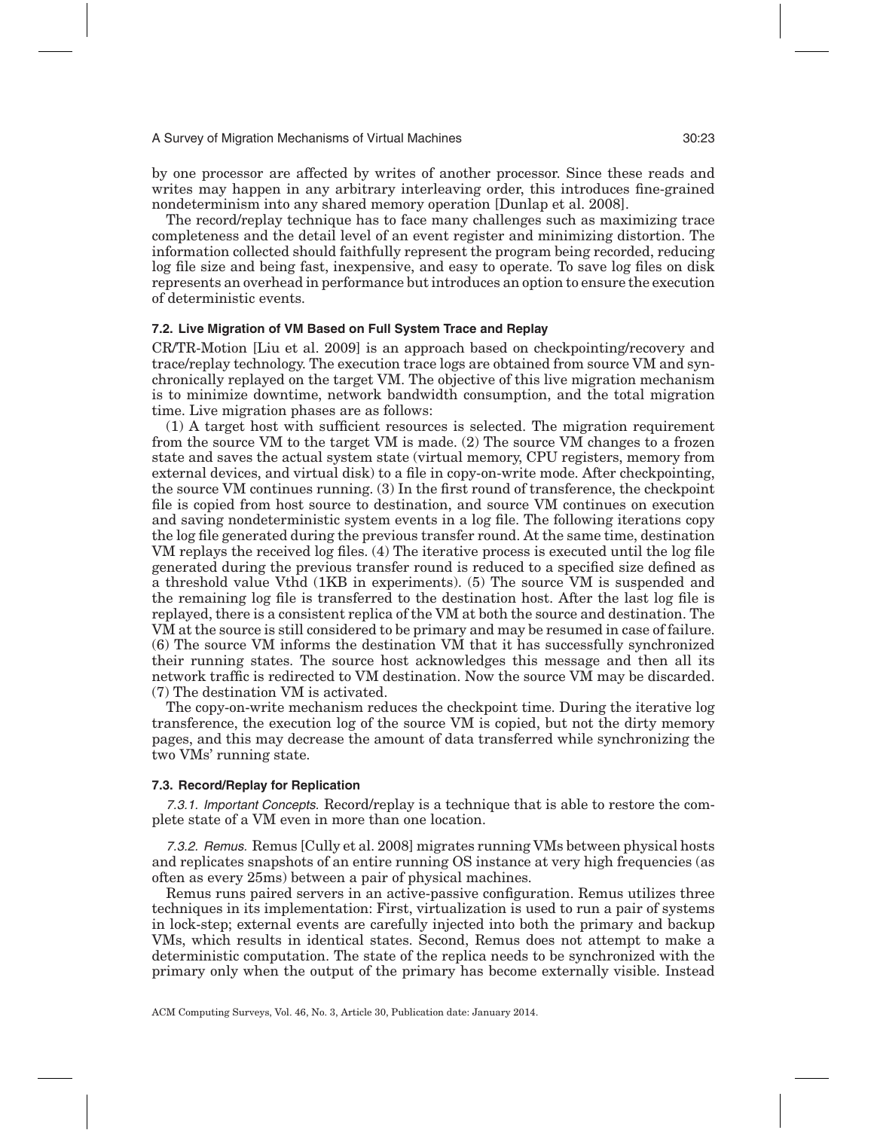by one processor are affected by writes of another processor. Since these reads and writes may happen in any arbitrary interleaving order, this introduces fine-grained nondeterminism into any shared memory operation [Dunlap et al. [2008\]](#page-29-13).

The record/replay technique has to face many challenges such as maximizing trace completeness and the detail level of an event register and minimizing distortion. The information collected should faithfully represent the program being recorded, reducing log file size and being fast, inexpensive, and easy to operate. To save log files on disk represents an overhead in performance but introduces an option to ensure the execution of deterministic events.

# **7.2. Live Migration of VM Based on Full System Trace and Replay**

CR/TR-Motion [Liu et al. [2009\]](#page-30-18) is an approach based on checkpointing/recovery and trace/replay technology. The execution trace logs are obtained from source VM and synchronically replayed on the target VM. The objective of this live migration mechanism is to minimize downtime, network bandwidth consumption, and the total migration time. Live migration phases are as follows:

(1) A target host with sufficient resources is selected. The migration requirement from the source VM to the target VM is made. (2) The source VM changes to a frozen state and saves the actual system state (virtual memory, CPU registers, memory from external devices, and virtual disk) to a file in copy-on-write mode. After checkpointing, the source VM continues running. (3) In the first round of transference, the checkpoint file is copied from host source to destination, and source VM continues on execution and saving nondeterministic system events in a log file. The following iterations copy the log file generated during the previous transfer round. At the same time, destination VM replays the received log files. (4) The iterative process is executed until the log file generated during the previous transfer round is reduced to a specified size defined as a threshold value Vthd (1KB in experiments). (5) The source VM is suspended and the remaining log file is transferred to the destination host. After the last log file is replayed, there is a consistent replica of the VM at both the source and destination. The VM at the source is still considered to be primary and may be resumed in case of failure. (6) The source VM informs the destination VM that it has successfully synchronized their running states. The source host acknowledges this message and then all its network traffic is redirected to VM destination. Now the source VM may be discarded. (7) The destination VM is activated.

The copy-on-write mechanism reduces the checkpoint time. During the iterative log transference, the execution log of the source VM is copied, but not the dirty memory pages, and this may decrease the amount of data transferred while synchronizing the two VMs' running state.

#### **7.3. Record/Replay for Replication**

7.3.1. Important Concepts. Record/replay is a technique that is able to restore the complete state of a VM even in more than one location.

7.3.2. Remus. Remus [Cully et al. [2008\]](#page-29-14) migrates running VMs between physical hosts and replicates snapshots of an entire running OS instance at very high frequencies (as often as every 25ms) between a pair of physical machines.

Remus runs paired servers in an active-passive configuration. Remus utilizes three techniques in its implementation: First, virtualization is used to run a pair of systems in lock-step; external events are carefully injected into both the primary and backup VMs, which results in identical states. Second, Remus does not attempt to make a deterministic computation. The state of the replica needs to be synchronized with the primary only when the output of the primary has become externally visible. Instead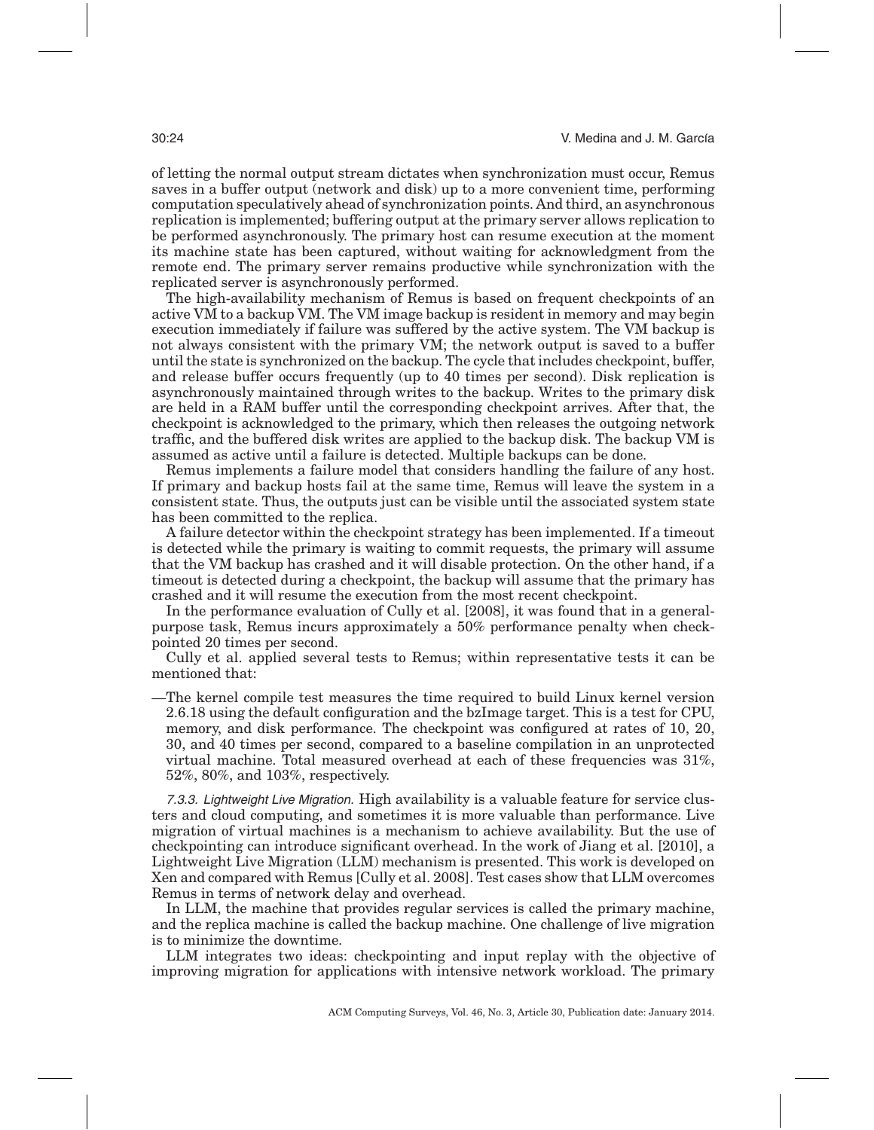of letting the normal output stream dictates when synchronization must occur, Remus saves in a buffer output (network and disk) up to a more convenient time, performing computation speculatively ahead of synchronization points. And third, an asynchronous replication is implemented; buffering output at the primary server allows replication to be performed asynchronously. The primary host can resume execution at the moment its machine state has been captured, without waiting for acknowledgment from the remote end. The primary server remains productive while synchronization with the replicated server is asynchronously performed.

The high-availability mechanism of Remus is based on frequent checkpoints of an active VM to a backup VM. The VM image backup is resident in memory and may begin execution immediately if failure was suffered by the active system. The VM backup is not always consistent with the primary VM; the network output is saved to a buffer until the state is synchronized on the backup. The cycle that includes checkpoint, buffer, and release buffer occurs frequently (up to 40 times per second). Disk replication is asynchronously maintained through writes to the backup. Writes to the primary disk are held in a RAM buffer until the corresponding checkpoint arrives. After that, the checkpoint is acknowledged to the primary, which then releases the outgoing network traffic, and the buffered disk writes are applied to the backup disk. The backup VM is assumed as active until a failure is detected. Multiple backups can be done.

Remus implements a failure model that considers handling the failure of any host. If primary and backup hosts fail at the same time, Remus will leave the system in a consistent state. Thus, the outputs just can be visible until the associated system state has been committed to the replica.

A failure detector within the checkpoint strategy has been implemented. If a timeout is detected while the primary is waiting to commit requests, the primary will assume that the VM backup has crashed and it will disable protection. On the other hand, if a timeout is detected during a checkpoint, the backup will assume that the primary has crashed and it will resume the execution from the most recent checkpoint.

In the performance evaluation of Cully et al. [\[2008\]](#page-29-14), it was found that in a generalpurpose task, Remus incurs approximately a 50% performance penalty when checkpointed 20 times per second.

Cully et al. applied several tests to Remus; within representative tests it can be mentioned that:

—The kernel compile test measures the time required to build Linux kernel version 2.6.18 using the default configuration and the bzImage target. This is a test for CPU, memory, and disk performance. The checkpoint was configured at rates of 10, 20, 30, and 40 times per second, compared to a baseline compilation in an unprotected virtual machine. Total measured overhead at each of these frequencies was 31%, 52%, 80%, and 103%, respectively.

7.3.3. Lightweight Live Migration. High availability is a valuable feature for service clusters and cloud computing, and sometimes it is more valuable than performance. Live migration of virtual machines is a mechanism to achieve availability. But the use of checkpointing can introduce significant overhead. In the work of Jiang et al. [\[2010\]](#page-29-15), a Lightweight Live Migration (LLM) mechanism is presented. This work is developed on Xen and compared with Remus [Cully et al. [2008\]](#page-29-14). Test cases show that LLM overcomes Remus in terms of network delay and overhead.

In LLM, the machine that provides regular services is called the primary machine, and the replica machine is called the backup machine. One challenge of live migration is to minimize the downtime.

LLM integrates two ideas: checkpointing and input replay with the objective of improving migration for applications with intensive network workload. The primary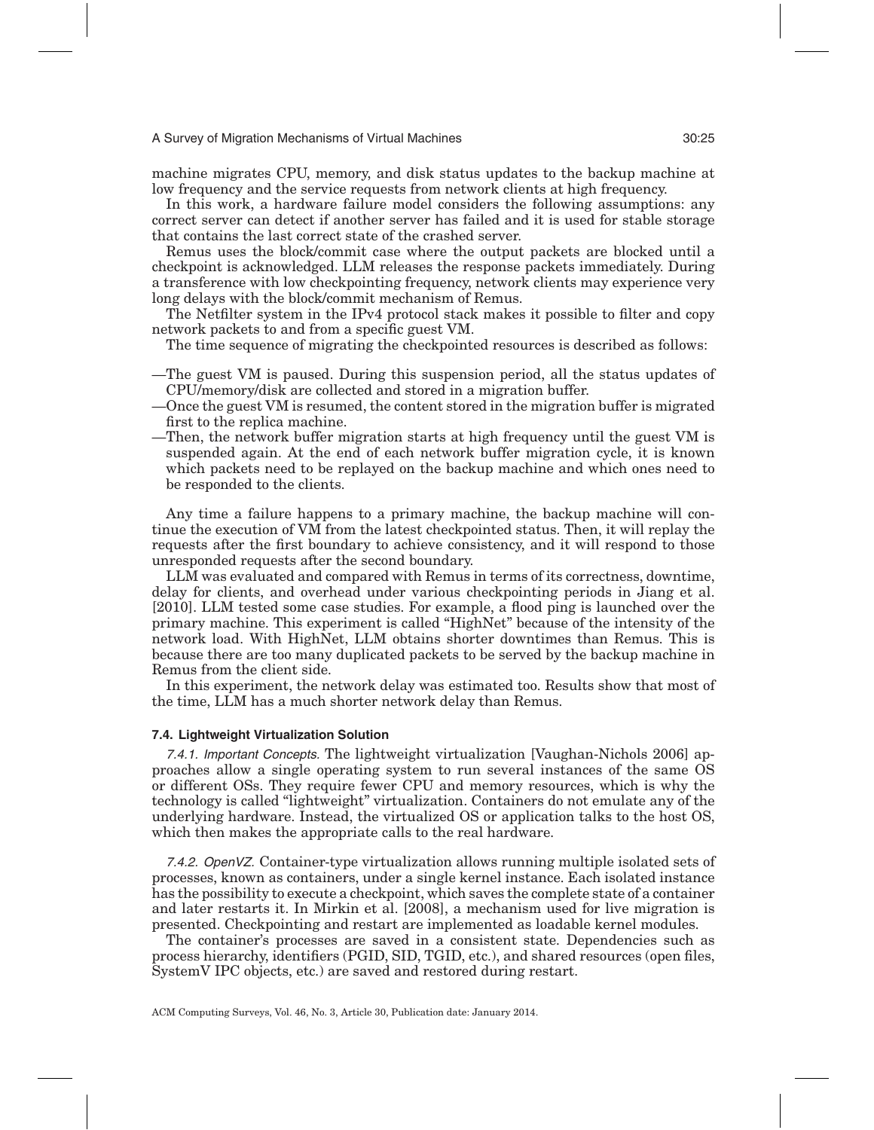machine migrates CPU, memory, and disk status updates to the backup machine at low frequency and the service requests from network clients at high frequency.

In this work, a hardware failure model considers the following assumptions: any correct server can detect if another server has failed and it is used for stable storage that contains the last correct state of the crashed server.

Remus uses the block/commit case where the output packets are blocked until a checkpoint is acknowledged. LLM releases the response packets immediately. During a transference with low checkpointing frequency, network clients may experience very long delays with the block/commit mechanism of Remus.

The Netfilter system in the IPv4 protocol stack makes it possible to filter and copy network packets to and from a specific guest VM.

The time sequence of migrating the checkpointed resources is described as follows:

- —The guest VM is paused. During this suspension period, all the status updates of CPU/memory/disk are collected and stored in a migration buffer.
- —Once the guest VM is resumed, the content stored in the migration buffer is migrated first to the replica machine.
- —Then, the network buffer migration starts at high frequency until the guest VM is suspended again. At the end of each network buffer migration cycle, it is known which packets need to be replayed on the backup machine and which ones need to be responded to the clients.

Any time a failure happens to a primary machine, the backup machine will continue the execution of VM from the latest checkpointed status. Then, it will replay the requests after the first boundary to achieve consistency, and it will respond to those unresponded requests after the second boundary.

LLM was evaluated and compared with Remus in terms of its correctness, downtime, delay for clients, and overhead under various checkpointing periods in Jiang et al. [\[2010\]](#page-29-15). LLM tested some case studies. For example, a flood ping is launched over the primary machine. This experiment is called "HighNet" because of the intensity of the network load. With HighNet, LLM obtains shorter downtimes than Remus. This is because there are too many duplicated packets to be served by the backup machine in Remus from the client side.

In this experiment, the network delay was estimated too. Results show that most of the time, LLM has a much shorter network delay than Remus.

#### **7.4. Lightweight Virtualization Solution**

7.4.1. Important Concepts. The lightweight virtualization [Vaughan-Nichols [2006\]](#page-31-17) approaches allow a single operating system to run several instances of the same OS or different OSs. They require fewer CPU and memory resources, which is why the technology is called "lightweight" virtualization. Containers do not emulate any of the underlying hardware. Instead, the virtualized OS or application talks to the host OS, which then makes the appropriate calls to the real hardware.

7.4.2. OpenVZ. Container-type virtualization allows running multiple isolated sets of processes, known as containers, under a single kernel instance. Each isolated instance has the possibility to execute a checkpoint, which saves the complete state of a container and later restarts it. In Mirkin et al. [\[2008\]](#page-30-19), a mechanism used for live migration is presented. Checkpointing and restart are implemented as loadable kernel modules.

The container's processes are saved in a consistent state. Dependencies such as process hierarchy, identifiers (PGID, SID, TGID, etc.), and shared resources (open files, SystemV IPC objects, etc.) are saved and restored during restart.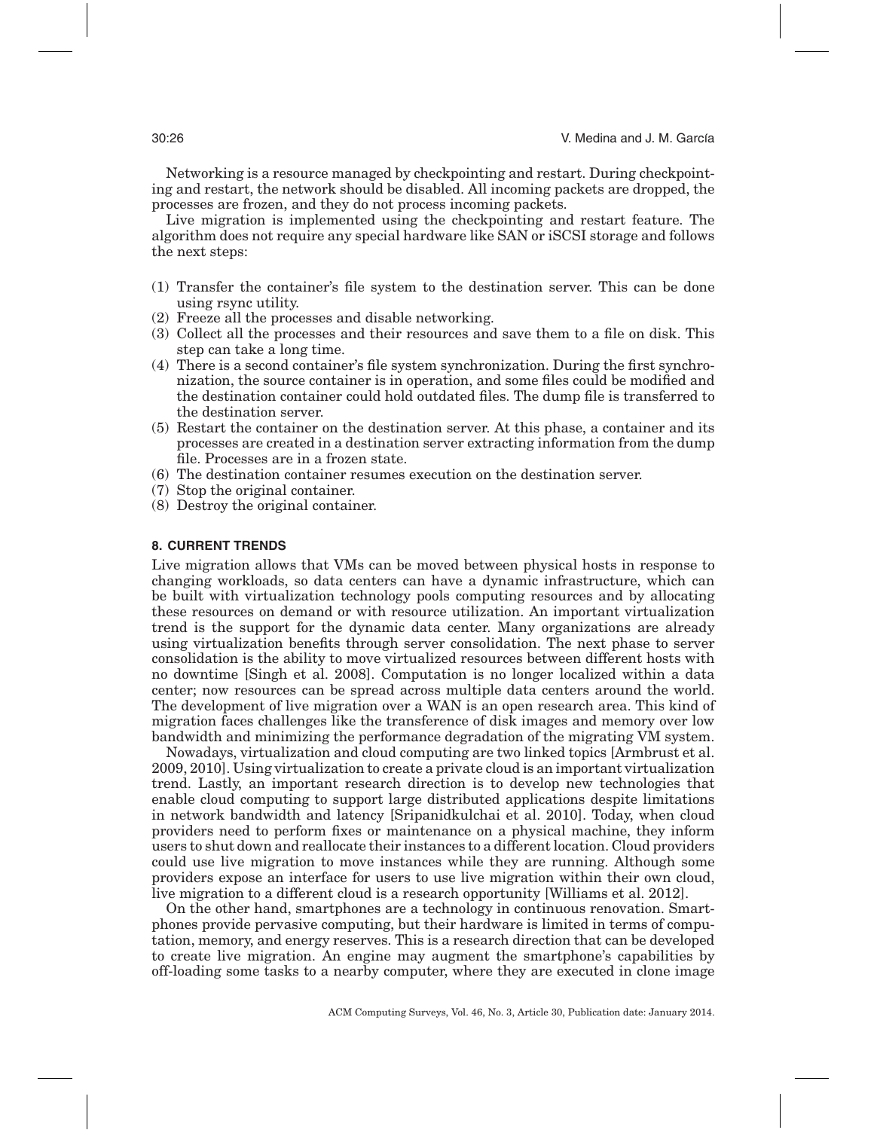Networking is a resource managed by checkpointing and restart. During checkpointing and restart, the network should be disabled. All incoming packets are dropped, the processes are frozen, and they do not process incoming packets.

Live migration is implemented using the checkpointing and restart feature. The algorithm does not require any special hardware like SAN or iSCSI storage and follows the next steps:

- (1) Transfer the container's file system to the destination server. This can be done using rsync utility.
- (2) Freeze all the processes and disable networking.
- (3) Collect all the processes and their resources and save them to a file on disk. This step can take a long time.
- (4) There is a second container's file system synchronization. During the first synchronization, the source container is in operation, and some files could be modified and the destination container could hold outdated files. The dump file is transferred to the destination server.
- (5) Restart the container on the destination server. At this phase, a container and its processes are created in a destination server extracting information from the dump file. Processes are in a frozen state.
- (6) The destination container resumes execution on the destination server.
- (7) Stop the original container.
- (8) Destroy the original container.

# **8. CURRENT TRENDS**

<span id="page-25-0"></span>Live migration allows that VMs can be moved between physical hosts in response to changing workloads, so data centers can have a dynamic infrastructure, which can be built with virtualization technology pools computing resources and by allocating these resources on demand or with resource utilization. An important virtualization trend is the support for the dynamic data center. Many organizations are already using virtualization benefits through server consolidation. The next phase to server consolidation is the ability to move virtualized resources between different hosts with no downtime [Singh et al. [2008\]](#page-31-14). Computation is no longer localized within a data center; now resources can be spread across multiple data centers around the world. The development of live migration over a WAN is an open research area. This kind of migration faces challenges like the transference of disk images and memory over low bandwidth and minimizing the performance degradation of the migrating VM system.

Nowadays, virtualization and cloud computing are two linked topics [Armbrust et al. [2009,](#page-28-11) [2010\]](#page-28-12). Using virtualization to create a private cloud is an important virtualization trend. Lastly, an important research direction is to develop new technologies that enable cloud computing to support large distributed applications despite limitations in network bandwidth and latency [Sripanidkulchai et al. [2010\]](#page-31-18). Today, when cloud providers need to perform fixes or maintenance on a physical machine, they inform users to shut down and reallocate their instances to a different location. Cloud providers could use live migration to move instances while they are running. Although some providers expose an interface for users to use live migration within their own cloud, live migration to a different cloud is a research opportunity [Williams et al. [2012\]](#page-31-19).

On the other hand, smartphones are a technology in continuous renovation. Smartphones provide pervasive computing, but their hardware is limited in terms of computation, memory, and energy reserves. This is a research direction that can be developed to create live migration. An engine may augment the smartphone's capabilities by off-loading some tasks to a nearby computer, where they are executed in clone image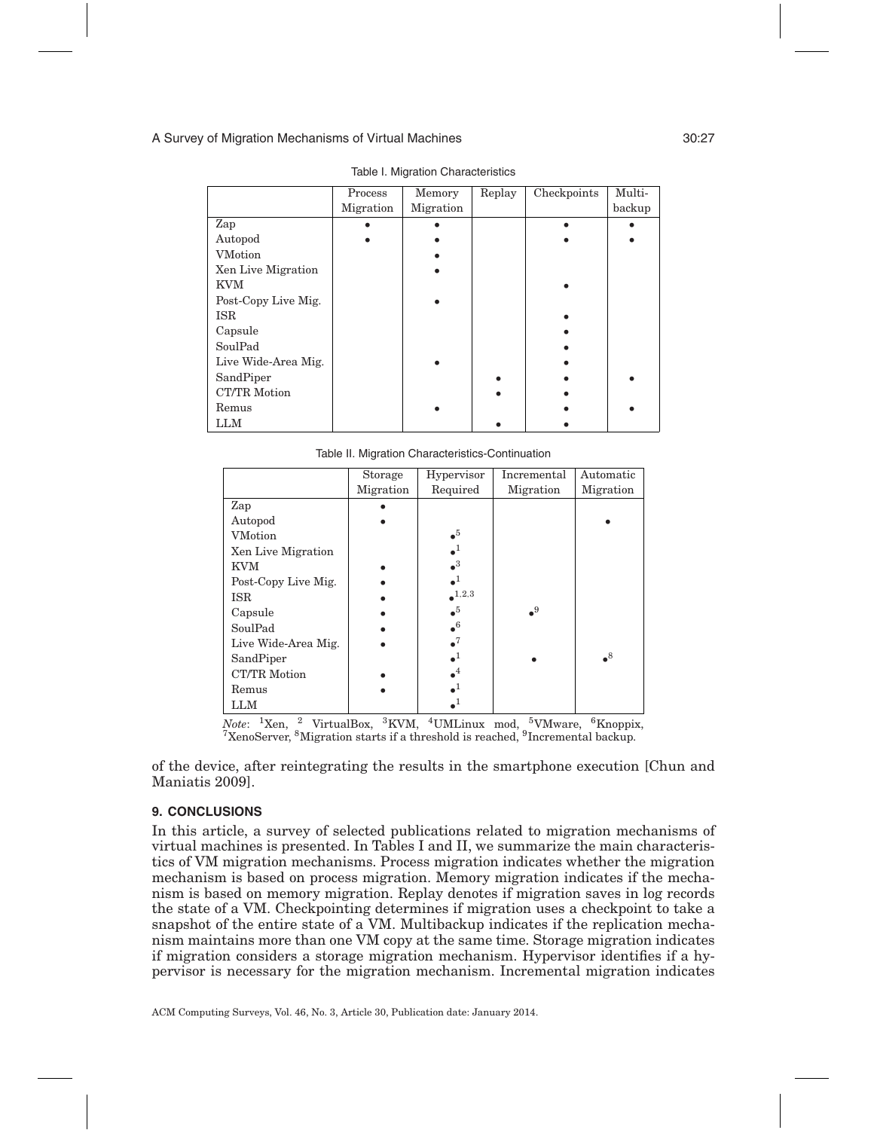<span id="page-26-1"></span>

|                     | Process   | Memory    | Replay | Checkpoints | Multi- |
|---------------------|-----------|-----------|--------|-------------|--------|
|                     | Migration | Migration |        |             | backup |
| Zap                 |           |           |        |             |        |
| Autopod             |           |           |        |             |        |
| <b>VMotion</b>      |           |           |        |             |        |
| Xen Live Migration  |           |           |        |             |        |
| <b>KVM</b>          |           |           |        |             |        |
| Post-Copy Live Mig. |           |           |        |             |        |
| <b>ISR</b>          |           |           |        |             |        |
| Capsule             |           |           |        |             |        |
| SoulPad             |           |           |        |             |        |
| Live Wide-Area Mig. |           |           |        |             |        |
| SandPiper           |           |           |        |             |        |
| CT/TR Motion        |           |           |        |             |        |
| Remus               |           |           |        |             |        |
| <b>LLM</b>          |           |           |        |             |        |

Table I. Migration Characteristics

|  | Table II. Migration Characteristics-Continuation |
|--|--------------------------------------------------|
|  |                                                  |

<span id="page-26-2"></span>

|                     | Storage   | Hypervisor   | Incremental | Automatic |
|---------------------|-----------|--------------|-------------|-----------|
|                     | Migration | Required     | Migration   | Migration |
| Zap                 |           |              |             |           |
| Autopod             |           |              |             |           |
| <b>VMotion</b>      |           | $\bullet^5$  |             |           |
| Xen Live Migration  |           | $\bullet^1$  |             |           |
| <b>KVM</b>          |           | $\bullet^3$  |             |           |
| Post-Copy Live Mig. |           | $\mathbf{I}$ |             |           |
| <b>ISR</b>          |           | 1,2,3        |             |           |
| Capsule             |           | $\bullet^5$  | $^{\circ}$  |           |
| SoulPad             |           | $\bullet^6$  |             |           |
| Live Wide-Area Mig. |           | $\bullet^7$  |             |           |
| SandPiper           |           | $\bullet^1$  |             | $\cdot^8$ |
| CT/TR Motion        |           | $\cdot^4$    |             |           |
| Remus               |           | $\mathbf{1}$ |             |           |
| LLM                 |           | $\mathbf{1}$ |             |           |

*Note*: <sup>1</sup>Xen, <sup>2</sup> VirtualBox, <sup>3</sup>KVM, <sup>4</sup>UMLinux mod, <sup>5</sup>VMware, <sup>6</sup>Knoppix, <sup>7</sup>XenoServer, <sup>8</sup>Migration starts if a threshold is reached, <sup>9</sup>Incremental backup.

of the device, after reintegrating the results in the smartphone execution [Chun and Maniatis [2009\]](#page-29-10).

# **9. CONCLUSIONS**

<span id="page-26-0"></span>In this article, a survey of selected publications related to migration mechanisms of virtual machines is presented. In Tables [I](#page-26-1) and [II,](#page-26-2) we summarize the main characteristics of VM migration mechanisms. Process migration indicates whether the migration mechanism is based on process migration. Memory migration indicates if the mechanism is based on memory migration. Replay denotes if migration saves in log records the state of a VM. Checkpointing determines if migration uses a checkpoint to take a snapshot of the entire state of a VM. Multibackup indicates if the replication mechanism maintains more than one VM copy at the same time. Storage migration indicates if migration considers a storage migration mechanism. Hypervisor identifies if a hypervisor is necessary for the migration mechanism. Incremental migration indicates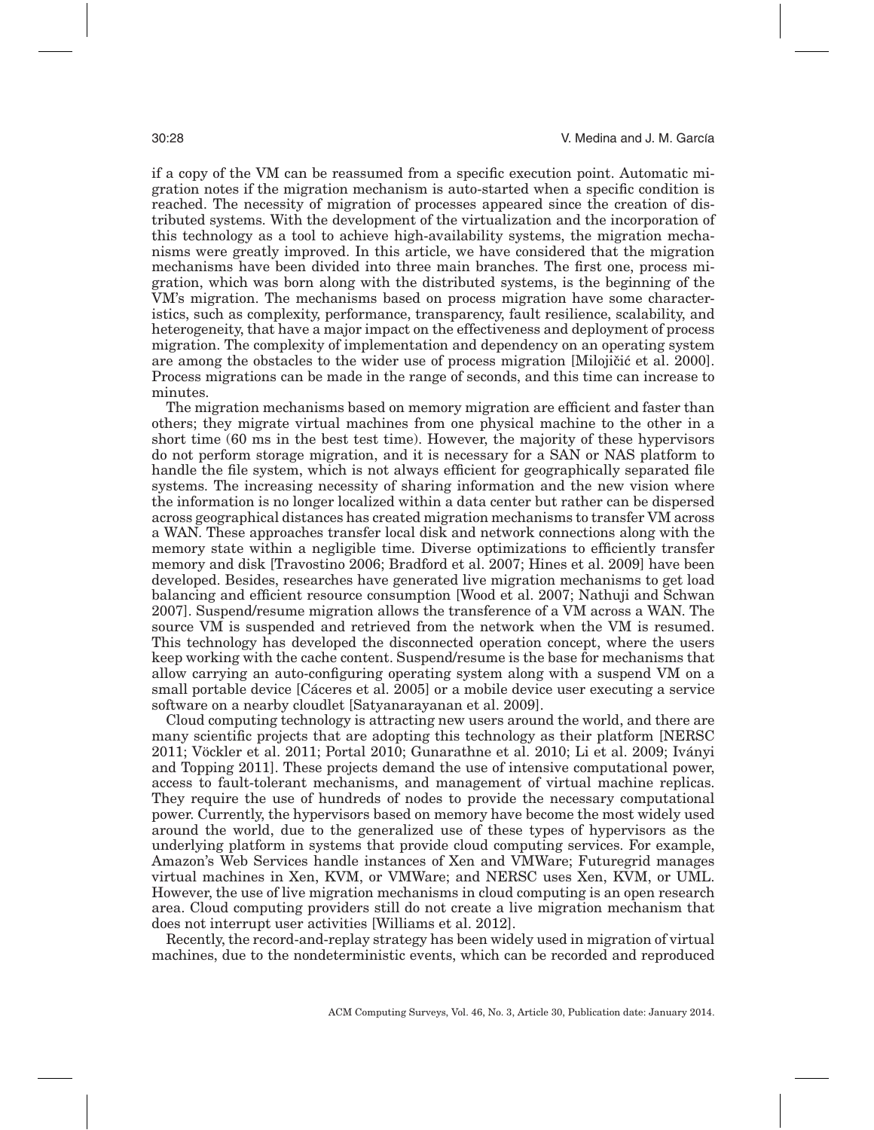if a copy of the VM can be reassumed from a specific execution point. Automatic migration notes if the migration mechanism is auto-started when a specific condition is reached. The necessity of migration of processes appeared since the creation of distributed systems. With the development of the virtualization and the incorporation of this technology as a tool to achieve high-availability systems, the migration mechanisms were greatly improved. In this article, we have considered that the migration mechanisms have been divided into three main branches. The first one, process migration, which was born along with the distributed systems, is the beginning of the VM's migration. The mechanisms based on process migration have some characteristics, such as complexity, performance, transparency, fault resilience, scalability, and heterogeneity, that have a major impact on the effectiveness and deployment of process migration. The complexity of implementation and dependency on an operating system are among the obstacles to the wider use of process migration [Milojičić et al. [2000\]](#page-30-9). Process migrations can be made in the range of seconds, and this time can increase to minutes.

The migration mechanisms based on memory migration are efficient and faster than others; they migrate virtual machines from one physical machine to the other in a short time (60 ms in the best test time). However, the majority of these hypervisors do not perform storage migration, and it is necessary for a SAN or NAS platform to handle the file system, which is not always efficient for geographically separated file systems. The increasing necessity of sharing information and the new vision where the information is no longer localized within a data center but rather can be dispersed across geographical distances has created migration mechanisms to transfer VM across a WAN. These approaches transfer local disk and network connections along with the memory state within a negligible time. Diverse optimizations to efficiently transfer memory and disk [Travostino [2006;](#page-31-6) Bradford et al. [2007;](#page-28-7) Hines et al. [2009\]](#page-29-5) have been developed. Besides, researches have generated live migration mechanisms to get load balancing and efficient resource consumption [Wood et al. [2007;](#page-32-1) Nathuji and Schwan [2007\]](#page-30-17). Suspend/resume migration allows the transference of a VM across a WAN. The source VM is suspended and retrieved from the network when the VM is resumed. This technology has developed the disconnected operation concept, where the users keep working with the cache content. Suspend/resume is the base for mechanisms that allow carrying an auto-configuring operating system along with a suspend VM on a small portable device [Cáceres et al. [2005\]](#page-28-4) or a mobile device user executing a service software on a nearby cloudlet [Satyanarayanan et al. [2009\]](#page-31-13).

Cloud computing technology is attracting new users around the world, and there are many scientific projects that are adopting this technology as their platform [NERSC  $2011$ ; Vöckler et al.  $2011$ ; Portal  $2010$ ; Gunarathne et al.  $2010$ ; Li et al.  $2009$ ; Iványi and Topping [2011\]](#page-29-17). These projects demand the use of intensive computational power, access to fault-tolerant mechanisms, and management of virtual machine replicas. They require the use of hundreds of nodes to provide the necessary computational power. Currently, the hypervisors based on memory have become the most widely used around the world, due to the generalized use of these types of hypervisors as the underlying platform in systems that provide cloud computing services. For example, Amazon's Web Services handle instances of Xen and VMWare; Futuregrid manages virtual machines in Xen, KVM, or VMWare; and NERSC uses Xen, KVM, or UML. However, the use of live migration mechanisms in cloud computing is an open research area. Cloud computing providers still do not create a live migration mechanism that does not interrupt user activities [Williams et al. [2012\]](#page-31-19).

Recently, the record-and-replay strategy has been widely used in migration of virtual machines, due to the nondeterministic events, which can be recorded and reproduced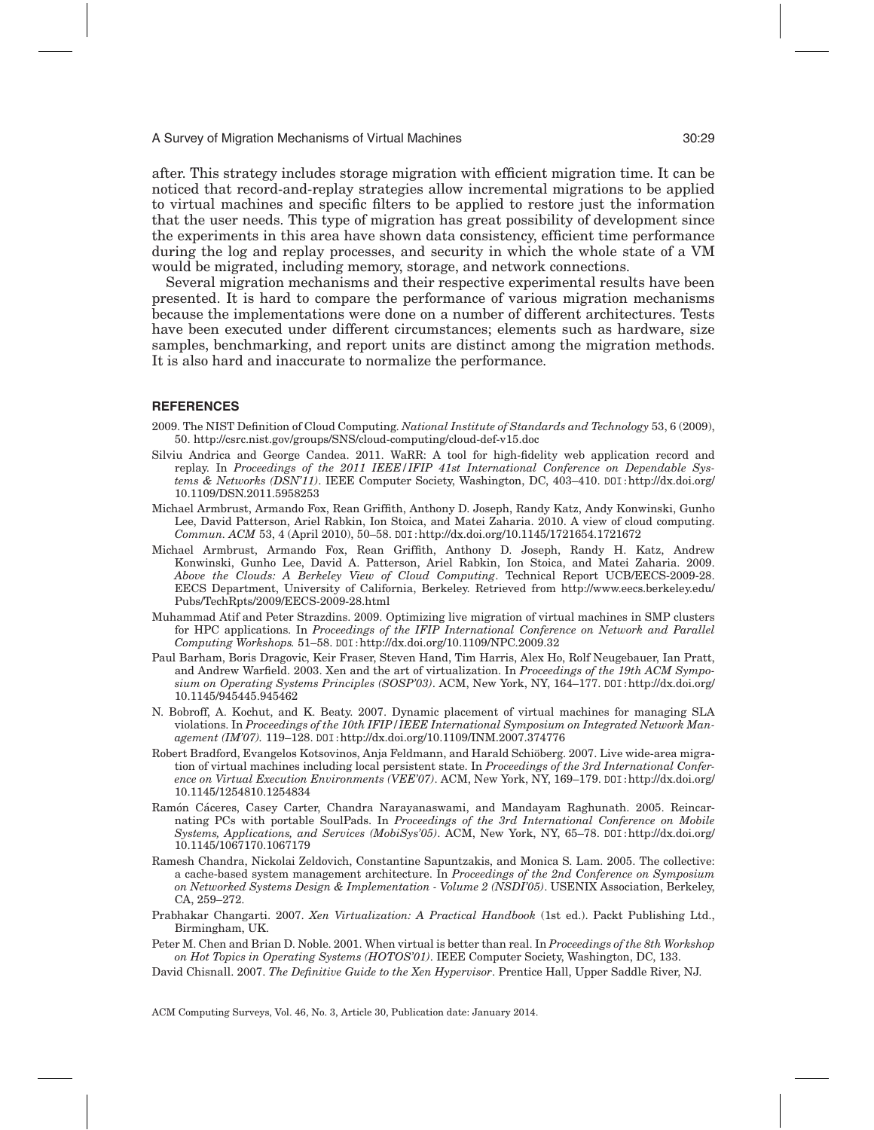after. This strategy includes storage migration with efficient migration time. It can be noticed that record-and-replay strategies allow incremental migrations to be applied to virtual machines and specific filters to be applied to restore just the information that the user needs. This type of migration has great possibility of development since the experiments in this area have shown data consistency, efficient time performance during the log and replay processes, and security in which the whole state of a VM would be migrated, including memory, storage, and network connections.

Several migration mechanisms and their respective experimental results have been presented. It is hard to compare the performance of various migration mechanisms because the implementations were done on a number of different architectures. Tests have been executed under different circumstances; elements such as hardware, size samples, benchmarking, and report units are distinct among the migration methods. It is also hard and inaccurate to normalize the performance.

## **REFERENCES**

- <span id="page-28-8"></span>2009. The NIST Definition of Cloud Computing. *National Institute of Standards and Technology* 53, 6 (2009), 50.<http://csrc.nist.gov/groups/SNS/cloud-computing/cloud-def-v15.doc>
- <span id="page-28-10"></span>Silviu Andrica and George Candea. 2011. WaRR: A tool for high-fidelity web application record and replay. In *Proceedings of the 2011 IEEE/IFIP 41st International Conference on Dependable Systems & Networks (DSN'11)*. IEEE Computer Society, Washington, DC, 403–410. DOI:[http://dx.doi.org/](<url>http://dx.doi.org/10.1109/DSN.2011.5958253</url>) [10.1109/DSN.2011.5958253](<url>http://dx.doi.org/10.1109/DSN.2011.5958253</url>)
- <span id="page-28-12"></span>Michael Armbrust, Armando Fox, Rean Griffith, Anthony D. Joseph, Randy Katz, Andy Konwinski, Gunho Lee, David Patterson, Ariel Rabkin, Ion Stoica, and Matei Zaharia. 2010. A view of cloud computing. *Commun. ACM* 53, 4 (April 2010), 50–58. DOI:<http://dx.doi.org/10.1145/1721654.1721672>
- <span id="page-28-11"></span>Michael Armbrust, Armando Fox, Rean Griffith, Anthony D. Joseph, Randy H. Katz, Andrew Konwinski, Gunho Lee, David A. Patterson, Ariel Rabkin, Ion Stoica, and Matei Zaharia. 2009. *Above the Clouds: A Berkeley View of Cloud Computing*. Technical Report UCB/EECS-2009-28. EECS Department, University of California, Berkeley. Retrieved from [http://www.eecs.berkeley.edu/](<url>http://www.eecs.berkeley.edu/Pubs/TechRpts/2009/EECS-2009-28.html</url>) [Pubs/TechRpts/2009/EECS-2009-28.html](<url>http://www.eecs.berkeley.edu/Pubs/TechRpts/2009/EECS-2009-28.html</url>)
- <span id="page-28-5"></span>Muhammad Atif and Peter Strazdins. 2009. Optimizing live migration of virtual machines in SMP clusters for HPC applications. In *Proceedings of the IFIP International Conference on Network and Parallel Computing Workshops.* 51–58. DOI:<http://dx.doi.org/10.1109/NPC.2009.32>
- <span id="page-28-0"></span>Paul Barham, Boris Dragovic, Keir Fraser, Steven Hand, Tim Harris, Alex Ho, Rolf Neugebauer, Ian Pratt, and Andrew Warfield. 2003. Xen and the art of virtualization. In *Proceedings of the 19th ACM Symposium on Operating Systems Principles (SOSP'03)*. ACM, New York, NY, 164–177. DOI:[http://dx.doi.org/](http://dx.doi.org/10.1145/945445.945462) [10.1145/945445.945462](http://dx.doi.org/10.1145/945445.945462)
- <span id="page-28-9"></span>N. Bobroff, A. Kochut, and K. Beaty. 2007. Dynamic placement of virtual machines for managing SLA violations. In *Proceedings of the 10th IFIP/IEEE International Symposium on Integrated Network Management (IM'07).* 119–128. DOI:<http://dx.doi.org/10.1109/INM.2007.374776>
- <span id="page-28-7"></span>Robert Bradford, Evangelos Kotsovinos, Anja Feldmann, and Harald Schioberg. 2007. Live wide-area migra- ¨ tion of virtual machines including local persistent state. In *Proceedings of the 3rd International Conference on Virtual Execution Environments (VEE'07)*. ACM, New York, NY, 169–179. DOI:[http://dx.doi.org/](http://dx.doi.org/10.1145/1254810.1254834) [10.1145/1254810.1254834](http://dx.doi.org/10.1145/1254810.1254834)
- <span id="page-28-4"></span>Ramón Cáceres, Casey Carter, Chandra Narayanaswami, and Mandayam Raghunath. 2005. Reincarnating PCs with portable SoulPads. In *Proceedings of the 3rd International Conference on Mobile Systems, Applications, and Services (MobiSys'05)*. ACM, New York, NY, 65–78. DOI:[http://dx.doi.org/](http://dx.doi.org/10.1145/1067170.1067179) [10.1145/1067170.1067179](http://dx.doi.org/10.1145/1067170.1067179)
- <span id="page-28-3"></span>Ramesh Chandra, Nickolai Zeldovich, Constantine Sapuntzakis, and Monica S. Lam. 2005. The collective: a cache-based system management architecture. In *Proceedings of the 2nd Conference on Symposium on Networked Systems Design & Implementation - Volume 2 (NSDI'05)*. USENIX Association, Berkeley, CA, 259–272.
- <span id="page-28-1"></span>Prabhakar Changarti. 2007. *Xen Virtualization: A Practical Handbook* (1st ed.). Packt Publishing Ltd., Birmingham, UK.
- <span id="page-28-6"></span>Peter M. Chen and Brian D. Noble. 2001. When virtual is better than real. In *Proceedings of the 8th Workshop on Hot Topics in Operating Systems (HOTOS'01)*. IEEE Computer Society, Washington, DC, 133.
- <span id="page-28-2"></span>David Chisnall. 2007. *The Definitive Guide to the Xen Hypervisor*. Prentice Hall, Upper Saddle River, NJ.

ACM Computing Surveys, Vol. 46, No. 3, Article 30, Publication date: January 2014.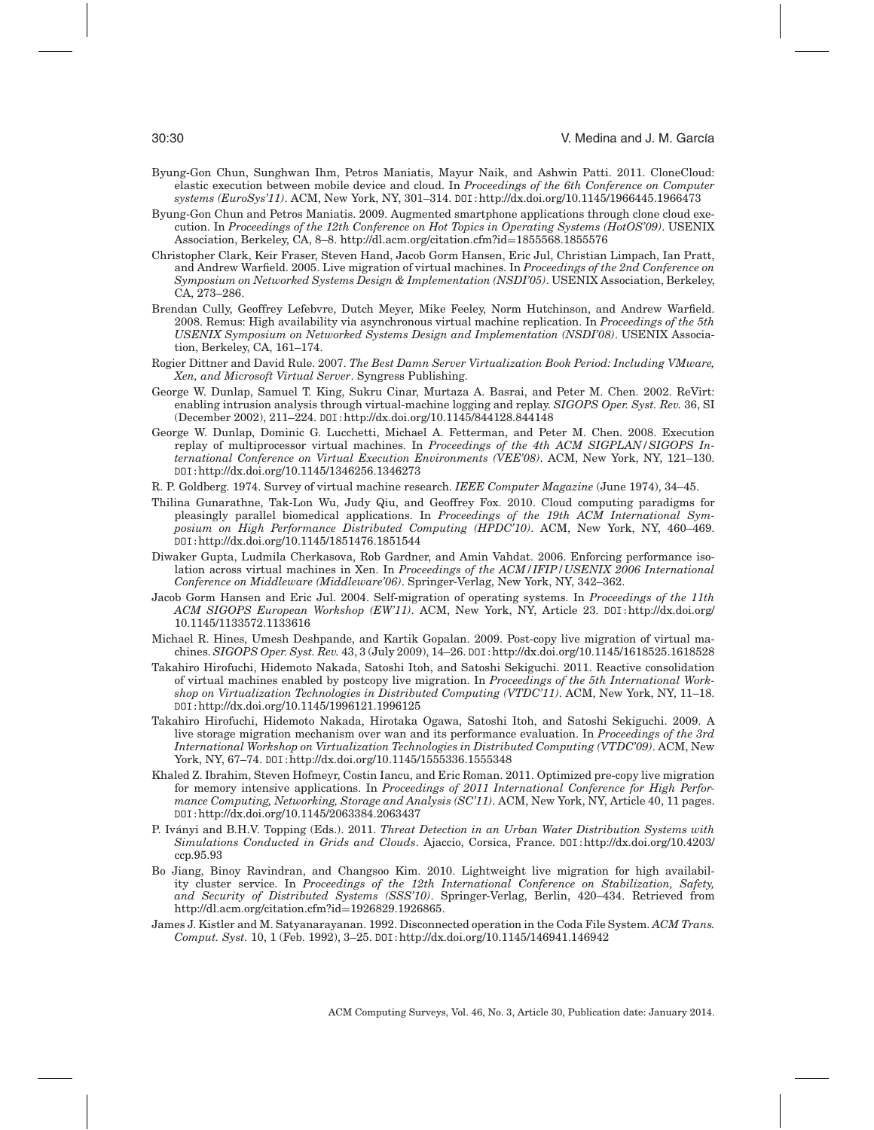- <span id="page-29-9"></span>Byung-Gon Chun, Sunghwan Ihm, Petros Maniatis, Mayur Naik, and Ashwin Patti. 2011. CloneCloud: elastic execution between mobile device and cloud. In *Proceedings of the 6th Conference on Computer systems (EuroSys'11)*. ACM, New York, NY, 301–314. DOI:<http://dx.doi.org/10.1145/1966445.1966473>
- <span id="page-29-10"></span>Byung-Gon Chun and Petros Maniatis. 2009. Augmented smartphone applications through clone cloud execution. In *Proceedings of the 12th Conference on Hot Topics in Operating Systems (HotOS'09)*. USENIX Association, Berkeley, CA, 8–8. [http://dl.acm.org/citation.cfm?id](http://dl.acm.org/citation.cfm?id$=$1855568.1855576)=1855568.1855576
- <span id="page-29-3"></span>Christopher Clark, Keir Fraser, Steven Hand, Jacob Gorm Hansen, Eric Jul, Christian Limpach, Ian Pratt, and Andrew Warfield. 2005. Live migration of virtual machines. In *Proceedings of the 2nd Conference on Symposium on Networked Systems Design & Implementation (NSDI'05)*. USENIX Association, Berkeley, CA, 273–286.
- <span id="page-29-14"></span>Brendan Cully, Geoffrey Lefebvre, Dutch Meyer, Mike Feeley, Norm Hutchinson, and Andrew Warfield. 2008. Remus: High availability via asynchronous virtual machine replication. In *Proceedings of the 5th USENIX Symposium on Networked Systems Design and Implementation (NSDI'08)*. USENIX Association, Berkeley, CA, 161–174.
- <span id="page-29-1"></span>Rogier Dittner and David Rule. 2007. *The Best Damn Server Virtualization Book Period: Including VMware, Xen, and Microsoft Virtual Server*. Syngress Publishing.
- <span id="page-29-12"></span>George W. Dunlap, Samuel T. King, Sukru Cinar, Murtaza A. Basrai, and Peter M. Chen. 2002. ReVirt: enabling intrusion analysis through virtual-machine logging and replay. *SIGOPS Oper. Syst. Rev.* 36, SI (December 2002), 211–224. DOI:<http://dx.doi.org/10.1145/844128.844148>
- <span id="page-29-13"></span>George W. Dunlap, Dominic G. Lucchetti, Michael A. Fetterman, and Peter M. Chen. 2008. Execution replay of multiprocessor virtual machines. In *Proceedings of the 4th ACM SIGPLAN/SIGOPS International Conference on Virtual Execution Environments (VEE'08)*. ACM, New York, NY, 121–130. DOI:<http://dx.doi.org/10.1145/1346256.1346273>
- <span id="page-29-0"></span>R. P. Goldberg. 1974. Survey of virtual machine research. *IEEE Computer Magazine* (June 1974), 34–45.
- <span id="page-29-16"></span>Thilina Gunarathne, Tak-Lon Wu, Judy Qiu, and Geoffrey Fox. 2010. Cloud computing paradigms for pleasingly parallel biomedical applications. In *Proceedings of the 19th ACM International Symposium on High Performance Distributed Computing (HPDC'10)*. ACM, New York, NY, 460–469. DOI:<http://dx.doi.org/10.1145/1851476.1851544>
- <span id="page-29-2"></span>Diwaker Gupta, Ludmila Cherkasova, Rob Gardner, and Amin Vahdat. 2006. Enforcing performance isolation across virtual machines in Xen. In *Proceedings of the ACM/IFIP/USENIX 2006 International Conference on Middleware (Middleware'06)*. Springer-Verlag, New York, NY, 342–362.
- <span id="page-29-6"></span>Jacob Gorm Hansen and Eric Jul. 2004. Self-migration of operating systems. In *Proceedings of the 11th ACM SIGOPS European Workshop (EW'11)*. ACM, New York, NY, Article 23. DOI:[http://dx.doi.org/](http://dx.doi.org/10.1145/1133572.1133616) [10.1145/1133572.1133616](http://dx.doi.org/10.1145/1133572.1133616)
- <span id="page-29-5"></span>Michael R. Hines, Umesh Deshpande, and Kartik Gopalan. 2009. Post-copy live migration of virtual machines. *SIGOPS Oper. Syst. Rev.* 43, 3 (July 2009), 14–26. DOI:<http://dx.doi.org/10.1145/1618525.1618528>
- <span id="page-29-4"></span>Takahiro Hirofuchi, Hidemoto Nakada, Satoshi Itoh, and Satoshi Sekiguchi. 2011. Reactive consolidation of virtual machines enabled by postcopy live migration. In *Proceedings of the 5th International Workshop on Virtualization Technologies in Distributed Computing (VTDC'11)*. ACM, New York, NY, 11–18. DOI:<http://dx.doi.org/10.1145/1996121.1996125>
- <span id="page-29-11"></span>Takahiro Hirofuchi, Hidemoto Nakada, Hirotaka Ogawa, Satoshi Itoh, and Satoshi Sekiguchi. 2009. A live storage migration mechanism over wan and its performance evaluation. In *Proceedings of the 3rd International Workshop on Virtualization Technologies in Distributed Computing (VTDC'09)*. ACM, New York, NY, 67-74. DOI: <http://dx.doi.org/10.1145/1555336.1555348>
- <span id="page-29-7"></span>Khaled Z. Ibrahim, Steven Hofmeyr, Costin Iancu, and Eric Roman. 2011. Optimized pre-copy live migration for memory intensive applications. In *Proceedings of 2011 International Conference for High Performance Computing, Networking, Storage and Analysis (SC'11)*. ACM, New York, NY, Article 40, 11 pages. DOI:<http://dx.doi.org/10.1145/2063384.2063437>
- <span id="page-29-17"></span>P. Iványi and B.H.V. Topping (Eds.). 2011. *Threat Detection in an Urban Water Distribution Systems with Simulations Conducted in Grids and Clouds*. Ajaccio, Corsica, France. DOI:[http://dx.doi.org/10.4203/](http://dx.doi.org/10.4203/ccp.95.93 ) [ccp.95.93](http://dx.doi.org/10.4203/ccp.95.93 )
- <span id="page-29-15"></span>Bo Jiang, Binoy Ravindran, and Changsoo Kim. 2010. Lightweight live migration for high availability cluster service. In *Proceedings of the 12th International Conference on Stabilization, Safety, and Security of Distributed Systems (SSS'10)*. Springer-Verlag, Berlin, 420–434. Retrieved from [http://dl.acm.org/citation.cfm?id](http://dl.acm.org/citation.cfm?id$=$1926829.1926865)=1926829.1926865.
- <span id="page-29-8"></span>James J. Kistler and M. Satyanarayanan. 1992. Disconnected operation in the Coda File System. *ACM Trans. Comput. Syst.* 10, 1 (Feb. 1992), 3–25. DOI:<http://dx.doi.org/10.1145/146941.146942>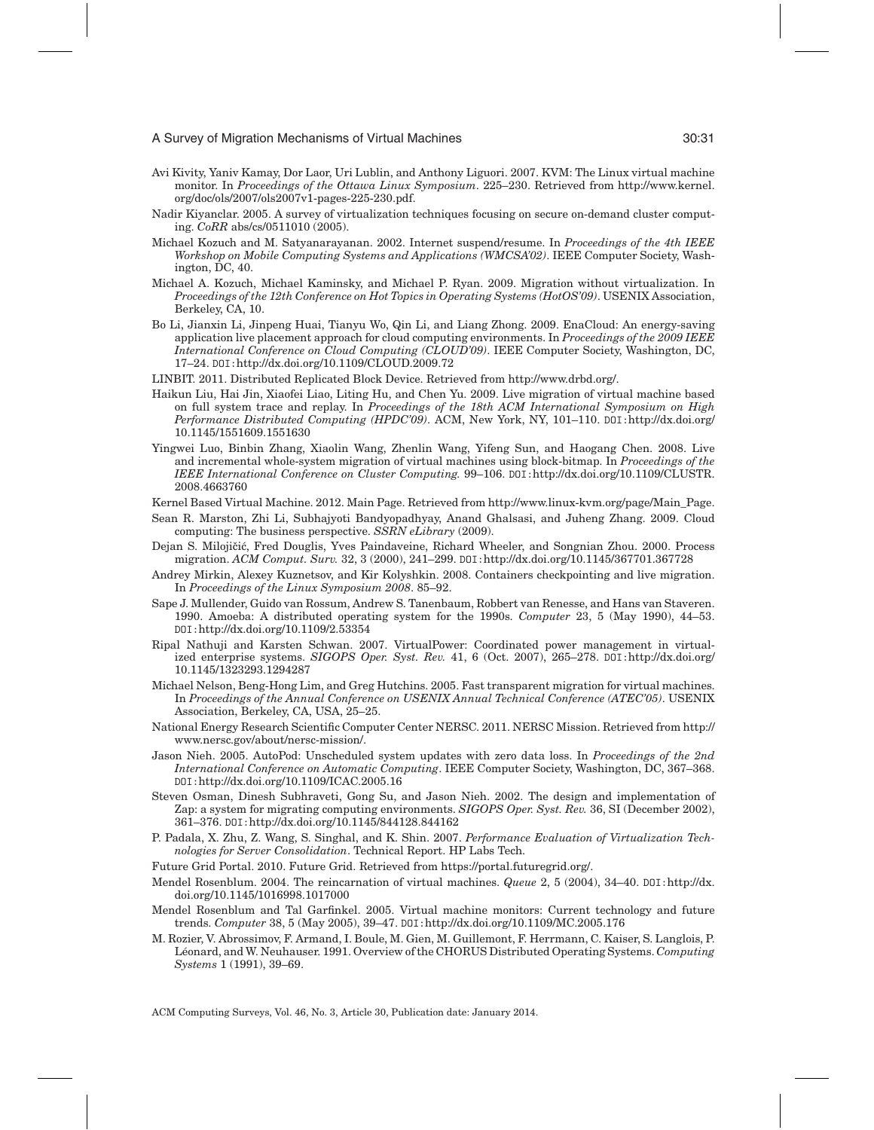- <span id="page-30-12"></span>Avi Kivity, Yaniv Kamay, Dor Laor, Uri Lublin, and Anthony Liguori. 2007. KVM: The Linux virtual machine monitor. In *Proceedings of the Ottawa Linux Symposium*. 225–230. Retrieved from [http://www.kernel.](http://www.kernel.org/doc/ols/2007/ols2007v1-pages-225-230.pdf) [org/doc/ols/2007/ols2007v1-pages-225-230.pdf.](http://www.kernel.org/doc/ols/2007/ols2007v1-pages-225-230.pdf)
- <span id="page-30-3"></span>Nadir Kiyanclar. 2005. A survey of virtualization techniques focusing on secure on-demand cluster computing. *CoRR* abs/cs/0511010 (2005).
- <span id="page-30-15"></span>Michael Kozuch and M. Satyanarayanan. 2002. Internet suspend/resume. In *Proceedings of the 4th IEEE Workshop on Mobile Computing Systems and Applications (WMCSA'02)*. IEEE Computer Society, Washington, DC, 40.
- <span id="page-30-14"></span>Michael A. Kozuch, Michael Kaminsky, and Michael P. Ryan. 2009. Migration without virtualization. In *Proceedings of the 12th Conference on Hot Topics in Operating Systems (HotOS'09)*. USENIX Association, Berkeley, CA, 10.
- <span id="page-30-22"></span>Bo Li, Jianxin Li, Jinpeng Huai, Tianyu Wo, Qin Li, and Liang Zhong. 2009. EnaCloud: An energy-saving application live placement approach for cloud computing environments. In *Proceedings of the 2009 IEEE International Conference on Cloud Computing (CLOUD'09)*. IEEE Computer Society, Washington, DC, 17–24. DOI:<http://dx.doi.org/10.1109/CLOUD.2009.72>
- <span id="page-30-8"></span>LINBIT. 2011. Distributed Replicated Block Device. Retrieved from [http://www.drbd.org/.](http://www.drbd.org/)
- <span id="page-30-18"></span>Haikun Liu, Hai Jin, Xiaofei Liao, Liting Hu, and Chen Yu. 2009. Live migration of virtual machine based on full system trace and replay. In *Proceedings of the 18th ACM International Symposium on High Performance Distributed Computing (HPDC'09)*. ACM, New York, NY, 101–110. DOI:[http://dx.doi.org/](http://dx.doi.org/10.1145/1551609.1551630) [10.1145/1551609.1551630](http://dx.doi.org/10.1145/1551609.1551630)
- <span id="page-30-13"></span>Yingwei Luo, Binbin Zhang, Xiaolin Wang, Zhenlin Wang, Yifeng Sun, and Haogang Chen. 2008. Live and incremental whole-system migration of virtual machines using block-bitmap. In *Proceedings of the IEEE International Conference on Cluster Computing.* 99–106. DOI:[http://dx.doi.org/10.1109/CLUSTR.](http://dx.doi.org/10.1109/CLUSTR.2008.4663760) [2008.4663760](http://dx.doi.org/10.1109/CLUSTR.2008.4663760)
- <span id="page-30-11"></span>Kernel Based Virtual Machine. 2012. Main Page. Retrieved from [http://www.linux-kvm.org/page/Main\\_Page.](http://www.linux-kvm.org/page/Main_Page)
- <span id="page-30-16"></span>Sean R. Marston, Zhi Li, Subhajyoti Bandyopadhyay, Anand Ghalsasi, and Juheng Zhang. 2009. Cloud computing: The business perspective. *SSRN eLibrary* (2009).
- <span id="page-30-9"></span>Dejan S. Milojičić, Fred Douglis, Yves Paindaveine, Richard Wheeler, and Songnian Zhou. 2000. Process migration. *ACM Comput. Surv.* 32, 3 (2000), 241–299. DOI:<http://dx.doi.org/10.1145/367701.367728>
- <span id="page-30-19"></span>Andrey Mirkin, Alexey Kuznetsov, and Kir Kolyshkin. 2008. Containers checkpointing and live migration. In *Proceedings of the Linux Symposium 2008*. 85–92.
- <span id="page-30-4"></span>Sape J. Mullender, Guido van Rossum, Andrew S. Tanenbaum, Robbert van Renesse, and Hans van Staveren. 1990. Amoeba: A distributed operating system for the 1990s. *Computer* 23, 5 (May 1990), 44–53. DOI:<http://dx.doi.org/10.1109/2.53354>
- <span id="page-30-17"></span>Ripal Nathuji and Karsten Schwan. 2007. VirtualPower: Coordinated power management in virtualized enterprise systems. *SIGOPS Oper. Syst. Rev.* 41, 6 (Oct. 2007), 265–278. DOI:[http://dx.doi.org/](http://dx.doi.org/10.1145/1323293.1294287) [10.1145/1323293.1294287](http://dx.doi.org/10.1145/1323293.1294287)
- <span id="page-30-10"></span>Michael Nelson, Beng-Hong Lim, and Greg Hutchins. 2005. Fast transparent migration for virtual machines. In *Proceedings of the Annual Conference on USENIX Annual Technical Conference (ATEC'05)*. USENIX Association, Berkeley, CA, USA, 25–25.
- <span id="page-30-20"></span>National Energy Research Scientific Computer Center NERSC. 2011. NERSC Mission. Retrieved from [http://](http://www.nersc.gov/about/nersc-mission/) [www.nersc.gov/about/nersc-mission/.](http://www.nersc.gov/about/nersc-mission/)
- <span id="page-30-7"></span>Jason Nieh. 2005. AutoPod: Unscheduled system updates with zero data loss. In *Proceedings of the 2nd International Conference on Automatic Computing*. IEEE Computer Society, Washington, DC, 367–368. DOI:<http://dx.doi.org/10.1109/ICAC.2005.16>
- <span id="page-30-6"></span>Steven Osman, Dinesh Subhraveti, Gong Su, and Jason Nieh. 2002. The design and implementation of Zap: a system for migrating computing environments. *SIGOPS Oper. Syst. Rev.* 36, SI (December 2002), 361–376. DOI:<http://dx.doi.org/10.1145/844128.844162>
- <span id="page-30-2"></span>P. Padala, X. Zhu, Z. Wang, S. Singhal, and K. Shin. 2007. *Performance Evaluation of Virtualization Technologies for Server Consolidation*. Technical Report. HP Labs Tech.
- <span id="page-30-21"></span>Future Grid Portal. 2010. Future Grid. Retrieved from [https://portal.futuregrid.org/.](https://portal.futuregrid.org/)
- <span id="page-30-0"></span>Mendel Rosenblum. 2004. The reincarnation of virtual machines. *Queue* 2, 5 (2004), 34–40. DOI:[http://dx.](http://dx.doi.org/10.1145/1016998.1017000) [doi.org/10.1145/1016998.1017000](http://dx.doi.org/10.1145/1016998.1017000)
- <span id="page-30-1"></span>Mendel Rosenblum and Tal Garfinkel. 2005. Virtual machine monitors: Current technology and future trends. *Computer* 38, 5 (May 2005), 39–47. DOI:<http://dx.doi.org/10.1109/MC.2005.176>
- <span id="page-30-5"></span>M. Rozier, V. Abrossimov, F. Armand, I. Boule, M. Gien, M. Guillemont, F. Herrmann, C. Kaiser, S. Langlois, P. Léonard, and W. Neuhauser. 1991. Overview of the CHORUS Distributed Operating Systems. Computing *Systems* 1 (1991), 39–69.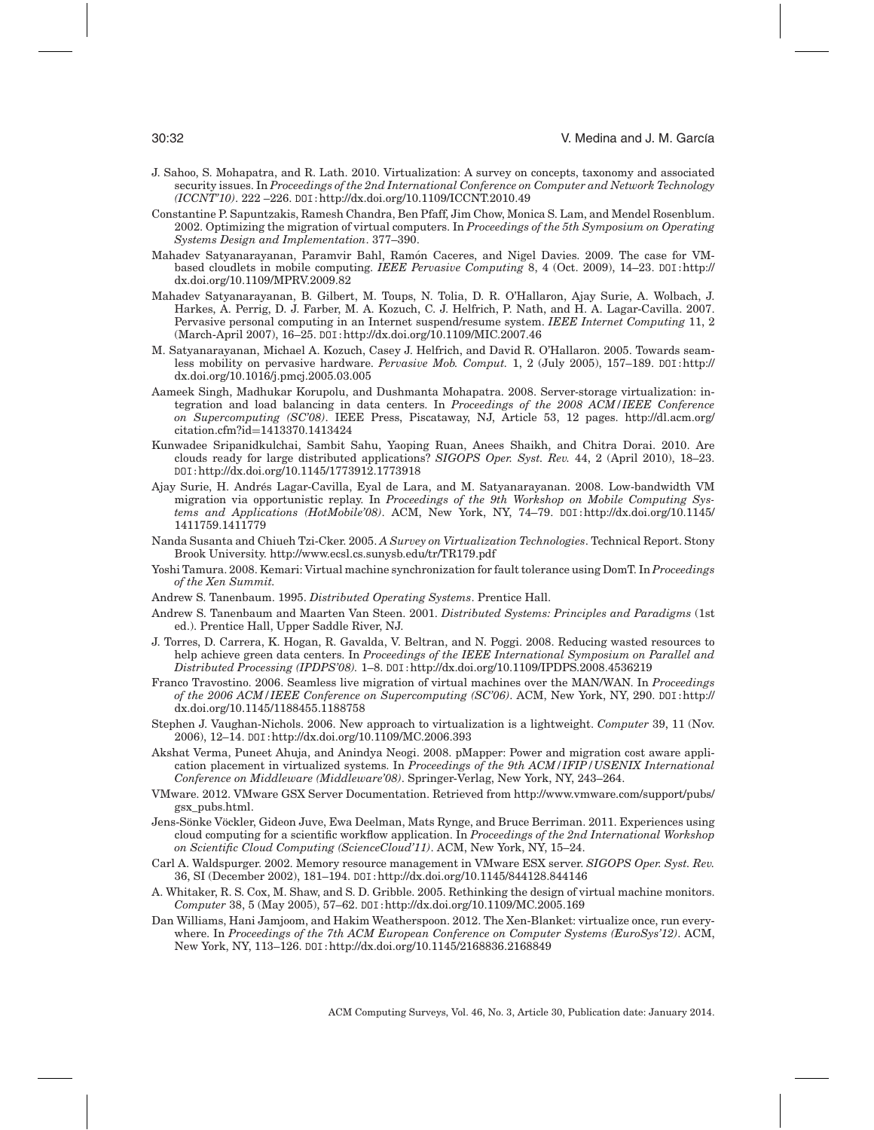- <span id="page-31-1"></span>J. Sahoo, S. Mohapatra, and R. Lath. 2010. Virtualization: A survey on concepts, taxonomy and associated security issues. In *Proceedings of the 2nd International Conference on Computer and Network Technology (ICCNT'10)*. 222 –226. DOI:<http://dx.doi.org/10.1109/ICCNT.2010.49>
- <span id="page-31-11"></span>Constantine P. Sapuntzakis, Ramesh Chandra, Ben Pfaff, Jim Chow, Monica S. Lam, and Mendel Rosenblum. 2002. Optimizing the migration of virtual computers. In *Proceedings of the 5th Symposium on Operating Systems Design and Implementation*. 377–390.
- <span id="page-31-13"></span>Mahadev Satyanarayanan, Paramvir Bahl, Ramón Caceres, and Nigel Davies. 2009. The case for VMbased cloudlets in mobile computing. *IEEE Pervasive Computing* 8, 4 (Oct. 2009), 14–23. DOI:[http://](http://dx.doi.org/10.1109/MPRV.2009.82) [dx.doi.org/10.1109/MPRV.2009.82](http://dx.doi.org/10.1109/MPRV.2009.82)
- <span id="page-31-10"></span>Mahadev Satyanarayanan, B. Gilbert, M. Toups, N. Tolia, D. R. O'Hallaron, Ajay Surie, A. Wolbach, J. Harkes, A. Perrig, D. J. Farber, M. A. Kozuch, C. J. Helfrich, P. Nath, and H. A. Lagar-Cavilla. 2007. Pervasive personal computing in an Internet suspend/resume system. *IEEE Internet Computing* 11, 2 (March-April 2007), 16–25. DOI:<http://dx.doi.org/10.1109/MIC.2007.46>
- <span id="page-31-7"></span>M. Satyanarayanan, Michael A. Kozuch, Casey J. Helfrich, and David R. O'Hallaron. 2005. Towards seamless mobility on pervasive hardware. *Pervasive Mob. Comput.* 1, 2 (July 2005), 157–189. DOI:[http://](http://dx.doi.org/10.1016/j.pmcj.2005.03.005) [dx.doi.org/10.1016/j.pmcj.2005.03.005](http://dx.doi.org/10.1016/j.pmcj.2005.03.005)
- <span id="page-31-14"></span>Aameek Singh, Madhukar Korupolu, and Dushmanta Mohapatra. 2008. Server-storage virtualization: integration and load balancing in data centers. In *Proceedings of the 2008 ACM/IEEE Conference on Supercomputing (SC'08)*. IEEE Press, Piscataway, NJ, Article 53, 12 pages. [http://dl.acm.org/](http://dl.acm.org/citation.cfm?id=1413370.1413424) citation.cfm?id=[1413370.1413424](http://dl.acm.org/citation.cfm?id=1413370.1413424)
- <span id="page-31-18"></span>Kunwadee Sripanidkulchai, Sambit Sahu, Yaoping Ruan, Anees Shaikh, and Chitra Dorai. 2010. Are clouds ready for large distributed applications? *SIGOPS Oper. Syst. Rev.* 44, 2 (April 2010), 18–23. DOI:<http://dx.doi.org/10.1145/1773912.1773918>
- <span id="page-31-16"></span>Ajay Surie, H. Andres Lagar-Cavilla, Eyal de Lara, and M. Satyanarayanan. 2008. Low-bandwidth VM ´ migration via opportunistic replay. In *Proceedings of the 9th Workshop on Mobile Computing Systems and Applications (HotMobile'08)*. ACM, New York, NY, 74–79. DOI:[http://dx.doi.org/10.1145/](http://dx.doi.org/10.1145/1411759.1411779) [1411759.1411779](http://dx.doi.org/10.1145/1411759.1411779)
- <span id="page-31-0"></span>Nanda Susanta and Chiueh Tzi-Cker. 2005. *A Survey on Virtualization Technologies*. Technical Report. Stony Brook University.<http://www.ecsl.cs.sunysb.edu/tr/TR179.pdf>
- <span id="page-31-9"></span>Yoshi Tamura. 2008. Kemari: Virtual machine synchronization for fault tolerance using DomT. In *Proceedings of the Xen Summit.*
- <span id="page-31-5"></span>Andrew S. Tanenbaum. 1995. *Distributed Operating Systems*. Prentice Hall.
- <span id="page-31-4"></span>Andrew S. Tanenbaum and Maarten Van Steen. 2001. *Distributed Systems: Principles and Paradigms* (1st ed.). Prentice Hall, Upper Saddle River, NJ.
- <span id="page-31-3"></span>J. Torres, D. Carrera, K. Hogan, R. Gavalda, V. Beltran, and N. Poggi. 2008. Reducing wasted resources to help achieve green data centers. In *Proceedings of the IEEE International Symposium on Parallel and Distributed Processing (IPDPS'08).* 1–8. DOI:<http://dx.doi.org/10.1109/IPDPS.2008.4536219>
- <span id="page-31-6"></span>Franco Travostino. 2006. Seamless live migration of virtual machines over the MAN/WAN. In *Proceedings of the 2006 ACM/IEEE Conference on Supercomputing (SC'06)*. ACM, New York, NY, 290. DOI:[http://](http://dx.doi.org/10.1145/1188455.1188758) [dx.doi.org/10.1145/1188455.1188758](http://dx.doi.org/10.1145/1188455.1188758)
- <span id="page-31-17"></span>Stephen J. Vaughan-Nichols. 2006. New approach to virtualization is a lightweight. *Computer* 39, 11 (Nov. 2006), 12–14. DOI:<http://dx.doi.org/10.1109/MC.2006.393>
- <span id="page-31-15"></span>Akshat Verma, Puneet Ahuja, and Anindya Neogi. 2008. pMapper: Power and migration cost aware application placement in virtualized systems. In *Proceedings of the 9th ACM/IFIP/USENIX International Conference on Middleware (Middleware'08)*. Springer-Verlag, New York, NY, 243–264.
- <span id="page-31-12"></span>VMware. 2012. VMware GSX Server Documentation. Retrieved from [http://www.vmware.com/support/pubs/](http://www.vmware.com/support/pubs/gsxpubs.html) [gsx\\_pubs.html.](http://www.vmware.com/support/pubs/gsxpubs.html)
- <span id="page-31-20"></span>Jens-Sönke Vöckler, Gideon Juve, Ewa Deelman, Mats Rynge, and Bruce Berriman. 2011. Experiences using cloud computing for a scientific workflow application. In *Proceedings of the 2nd International Workshop on Scientific Cloud Computing (ScienceCloud'11)*. ACM, New York, NY, 15–24.
- <span id="page-31-8"></span>Carl A. Waldspurger. 2002. Memory resource management in VMware ESX server. *SIGOPS Oper. Syst. Rev.* 36, SI (December 2002), 181–194. DOI:<http://dx.doi.org/10.1145/844128.844146>
- <span id="page-31-2"></span>A. Whitaker, R. S. Cox, M. Shaw, and S. D. Gribble. 2005. Rethinking the design of virtual machine monitors. *Computer* 38, 5 (May 2005), 57–62. DOI:<http://dx.doi.org/10.1109/MC.2005.169>
- <span id="page-31-19"></span>Dan Williams, Hani Jamjoom, and Hakim Weatherspoon. 2012. The Xen-Blanket: virtualize once, run everywhere. In *Proceedings of the 7th ACM European Conference on Computer Systems (EuroSys'12)*. ACM, New York, NY, 113–126. DOI:<http://dx.doi.org/10.1145/2168836.2168849>